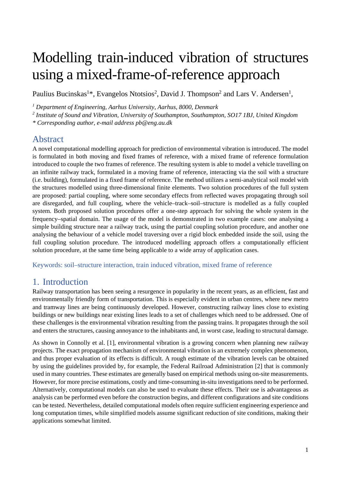# Modelling train-induced vibration of structures using a mixed-frame-of-reference approach

Paulius Bucinskas<sup>1\*</sup>, Evangelos Ntotsios<sup>2</sup>, David J. Thompson<sup>2</sup> and Lars V. Andersen<sup>1</sup>,

*<sup>1</sup> Department of Engineering, Aarhus University, Aarhus, 8000, Denmark*

*<sup>2</sup> Institute of Sound and Vibration, University of Southampton, Southampton, SO17 1BJ, United Kingdom*

*\* Corresponding author, e-mail address pb@eng.au.dk*

# Abstract

A novel computational modelling approach for prediction of environmental vibration is introduced. The model is formulated in both moving and fixed frames of reference, with a mixed frame of reference formulation introduced to couple the two frames of reference. The resulting system is able to model a vehicle travelling on an infinite railway track, formulated in a moving frame of reference, interacting via the soil with a structure (i.e. building), formulated in a fixed frame of reference. The method utilizes a semi-analytical soil model with the structures modelled using three-dimensional finite elements. Two solution procedures of the full system are proposed: partial coupling, where some secondary effects from reflected waves propagating through soil are disregarded, and full coupling, where the vehicle–track–soil–structure is modelled as a fully coupled system. Both proposed solution procedures offer a one-step approach for solving the whole system in the frequency–spatial domain. The usage of the model is demonstrated in two example cases: one analysing a simple building structure near a railway track, using the partial coupling solution procedure, and another one analysing the behaviour of a vehicle model traversing over a rigid block embedded inside the soil, using the full coupling solution procedure. The introduced modelling approach offers a computationally efficient solution procedure, at the same time being applicable to a wide array of application cases.

Keywords: soil–structure interaction, train induced vibration, mixed frame of reference

# 1. Introduction

Railway transportation has been seeing a resurgence in popularity in the recent years, as an efficient, fast and environmentally friendly form of transportation. This is especially evident in urban centres, where new metro and tramway lines are being continuously developed. However, constructing railway lines close to existing buildings or new buildings near existing lines leads to a set of challenges which need to be addressed. One of these challenges is the environmental vibration resulting from the passing trains. It propagates through the soil and enters the structures, causing annoyance to the inhabitants and, in worst case, leading to structural damage.

As shown in Connolly et al. [1], environmental vibration is a growing concern when planning new railway projects. The exact propagation mechanism of environmental vibration is an extremely complex phenomenon, and thus proper evaluation of its effects is difficult. A rough estimate of the vibration levels can be obtained by using the guidelines provided by, for example, the Federal Railroad Administration [2] that is commonly used in many countries. These estimates are generally based on empirical methods using on-site measurements. However, for more precise estimations, costly and time-consuming in-situ investigations need to be performed. Alternatively, computational models can also be used to evaluate these effects. Their use is advantageous as analysis can be performed even before the construction begins, and different configurations and site conditions can be tested. Nevertheless, detailed computational models often require sufficient engineering experience and long computation times, while simplified models assume significant reduction of site conditions, making their applications somewhat limited.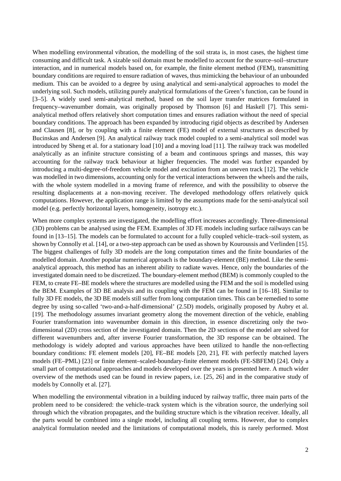When modelling environmental vibration, the modelling of the soil strata is, in most cases, the highest time consuming and difficult task. A sizable soil domain must be modelled to account for the source–soil–structure interaction, and in numerical models based on, for example, the finite element method (FEM), transmitting boundary conditions are required to ensure radiation of waves, thus mimicking the behaviour of an unbounded medium. This can be avoided to a degree by using analytical and semi-analytical approaches to model the underlying soil. Such models, utilizing purely analytical formulations of the Green's function, can be found in [3–5]. A widely used semi-analytical method, based on the soil layer transfer matrices formulated in frequency–wavenumber domain, was originally proposed by Thomson [6] and Haskell [7]. This semianalytical method offers relatively short computation times and ensures radiation without the need of special boundary conditions. The approach has been expanded by introducing rigid objects as described by Andersen and Clausen [8], or by coupling with a finite element (FE) model of external structures as described by Bucinskas and Andersen [9]. An analytical railway track model coupled to a semi-analytical soil model was introduced by Sheng et al. for a stationary load [10] and a moving load [11]. The railway track was modelled analytically as an infinite structure consisting of a beam and continuous springs and masses, this way accounting for the railway track behaviour at higher frequencies. The model was further expanded by introducing a multi-degree-of-freedom vehicle model and excitation from an uneven track [12]. The vehicle was modelled in two dimensions, accounting only for the vertical interactions between the wheels and the rails, with the whole system modelled in a moving frame of reference, and with the possibility to observe the resulting displacements at a non-moving receiver. The developed methodology offers relatively quick computations. However, the application range is limited by the assumptions made for the semi-analytical soil model (e.g. perfectly horizontal layers, homogeneity, isotropy etc.).

When more complex systems are investigated, the modelling effort increases accordingly. Three-dimensional (3D) problems can be analysed using the FEM. Examples of 3D FE models including surface railways can be found in [13–15]. The models can be formulated to account for a fully coupled vehicle–track–soil system, as shown by Connolly et al. [14], or a two-step approach can be used as shown by Kouroussis and Verlinden [15]. The biggest challenges of fully 3D models are the long computation times and the finite boundaries of the modelled domain. Another popular numerical approach is the boundary-element (BE) method. Like the semianalytical approach, this method has an inherent ability to radiate waves. Hence, only the boundaries of the investigated domain need to be discretized. The boundary-element method (BEM) is commonly coupled to the FEM, to create FE–BE models where the structures are modelled using the FEM and the soil is modelled using the BEM. Examples of 3D BE analysis and its coupling with the FEM can be found in [16–18]. Similar to fully 3D FE models, the 3D BE models still suffer from long computation times. This can be remedied to some degree by using so-called 'two-and-a-half-dimensional' (2.5D) models, originally proposed by Aubry et al. [19]. The methodology assumes invariant geometry along the movement direction of the vehicle, enabling Fourier transformation into wavenumber domain in this direction, in essence discretizing only the twodimensional (2D) cross section of the investigated domain. Then the 2D sections of the model are solved for different wavenumbers and, after inverse Fourier transformation, the 3D response can be obtained. The methodology is widely adopted and various approaches have been utilized to handle the non-reflecting boundary conditions: FE element models [20], FE–BE models [20, 21], FE with perfectly matched layers models (FE–PML) [23] or finite element–scaled-boundary-finite element models (FE-SBFEM) [24]. Only a small part of computational approaches and models developed over the years is presented here. A much wider overview of the methods used can be found in review papers, i.e. [25, 26] and in the comparative study of models by Connolly et al. [27].

When modelling the environmental vibration in a building induced by railway traffic, three main parts of the problem need to be considered: the vehicle–track system which is the vibration source, the underlying soil through which the vibration propagates, and the building structure which is the vibration receiver. Ideally, all the parts would be combined into a single model, including all coupling terms. However, due to complex analytical formulation needed and the limitations of computational models, this is rarely performed. Most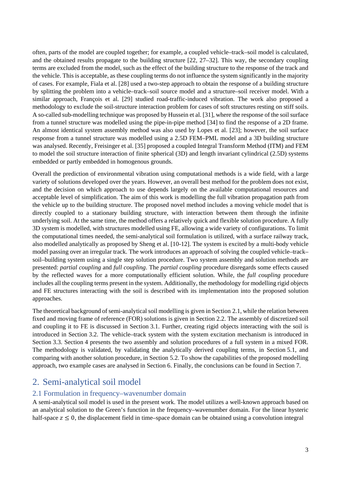often, parts of the model are coupled together; for example, a coupled vehicle–track–soil model is calculated, and the obtained results propagate to the building structure [22, 27–32]. This way, the secondary coupling terms are excluded from the model, such as the effect of the building structure to the response of the track and the vehicle. This is acceptable, as these coupling terms do not influence the system significantly in the majority of cases. For example, Fiala et al. [28] used a two-step approach to obtain the response of a building structure by splitting the problem into a vehicle–track–soil source model and a structure–soil receiver model. With a similar approach, François et al. [29] studied road-traffic-induced vibration. The work also proposed a methodology to exclude the soil-structure interaction problem for cases of soft structures resting on stiff soils. A so-called sub-modelling technique was proposed by Hussein et al. [31], where the response of the soil surface from a tunnel structure was modelled using the pipe-in-pipe method [34] to find the response of a 2D frame. An almost identical system assembly method was also used by Lopes et al. [23]; however, the soil surface response from a tunnel structure was modelled using a 2.5D FEM–PML model and a 3D building structure was analysed. Recently, Freisinger et al. [35] proposed a coupled Integral Transform Method (ITM) and FEM to model the soil structure interaction of finite spherical (3D) and length invariant cylindrical (2.5D) systems embedded or partly embedded in homogenous grounds.

Overall the prediction of environmental vibration using computational methods is a wide field, with a large variety of solutions developed over the years. However, an overall best method for the problem does not exist, and the decision on which approach to use depends largely on the available computational resources and acceptable level of simplification. The aim of this work is modelling the full vibration propagation path from the vehicle up to the building structure. The proposed novel method includes a moving vehicle model that is directly coupled to a stationary building structure, with interaction between them through the infinite underlying soil. At the same time, the method offers a relatively quick and flexible solution procedure. A fully 3D system is modelled, with structures modelled using FE, allowing a wide variety of configurations. To limit the computational times needed, the semi-analytical soil formulation is utilized, with a surface railway track, also modelled analytically as proposed by Sheng et al. [10-12]. The system is excited by a multi-body vehicle model passing over an irregular track. The work introduces an approach of solving the coupled vehicle–track– soil–building system using a single step solution procedure. Two system assembly and solution methods are presented: *partial coupling* and *full coupling*. The *partial coupling* procedure disregards some effects caused by the reflected waves for a more computationally efficient solution. While, the *full coupling* procedure includes all the coupling terms present in the system. Additionally, the methodology for modelling rigid objects and FE structures interacting with the soil is described with its implementation into the proposed solution approaches.

The theoretical background of semi-analytical soil modelling is given in Section 2.1, while the relation between fixed and moving frame of reference (FOR) solutions is given in Section 2.2. The assembly of discretized soil and coupling it to FE is discussed in Section 3.1. Further, creating rigid objects interacting with the soil is introduced in Section 3.2. The vehicle–track system with the system excitation mechanism is introduced in Section 3.3. Section 4 presents the two assembly and solution procedures of a full system in a mixed FOR. The methodology is validated, by validating the analytically derived coupling terms, in Section 5.1, and comparing with another solution procedure, in Section 5.2. To show the capabilities of the proposed modelling approach, two example cases are analysed in Section 6. Finally, the conclusions can be found in Section 7.

# 2. Semi-analytical soil model

### 2.1 Formulation in frequency–wavenumber domain

A semi-analytical soil model is used in the present work. The model utilizes a well-known approach based on an analytical solution to the Green's function in the frequency–wavenumber domain. For the linear hysteric half-space  $z \le 0$ , the displacement field in time–space domain can be obtained using a convolution integral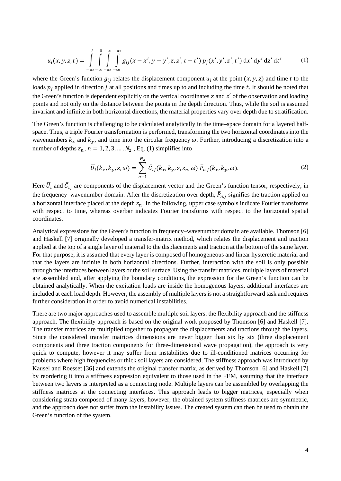$$
u_i(x, y, z, t) = \int_{-\infty}^t \int_{-\infty}^0 \int_{-\infty}^{\infty} \int_{-\infty}^{\infty} g_{ij}(x - x', y - y', z, z', t - t') p_j(x', y', z', t') dx' dy' dz' dt'
$$
(1)

where the Green's function  $g_{ij}$  relates the displacement component  $u_i$  at the point  $(x, y, z)$  and time t to the loads  $p_i$  applied in direction *j* at all positions and times up to and including the time *t*. It should be noted that the Green's function is dependent explicitly on the vertical coordinates  $z$  and  $z'$  of the observation and loading points and not only on the distance between the points in the depth direction. Thus, while the soil is assumed invariant and infinite in both horizontal directions, the material properties vary over depth due to stratification.

The Green's function is challenging to be calculated analytically in the time–space domain for a layered halfspace. Thus, a triple Fourier transformation is performed, transforming the two horizontal coordinates into the wavenumbers  $k_x$  and  $k_y$ , and time into the circular frequency  $\omega$ . Further, introducing a discretization into a number of depths  $z_n$ ,  $n = 1, 2, 3, ..., N_z$ , Eq. (1) simplifies into

$$
\overline{U}_i(k_x, k_y, z, \omega) = \sum_{n=1}^{N_z} \overline{G}_{ij}(k_x, k_y, z, z_n, \omega) \, \overline{P}_{n,j}(k_x, k_y, \omega).
$$
 (2)

Here  $\overline{U}_i$  and  $\overline{G}_{ij}$  are components of the displacement vector and the Green's function tensor, respectively, in the frequency–wavenumber domain. After the discretization over depth,  $\bar{P}_{n,j}$  signifies the traction applied on a horizontal interface placed at the depth  $z_n$ . In the following, upper case symbols indicate Fourier transforms with respect to time, whereas overbar indicates Fourier transforms with respect to the horizontal spatial coordinates.

Analytical expressions for the Green's function in frequency–wavenumber domain are available. Thomson [6] and Haskell [7] originally developed a transfer-matrix method, which relates the displacement and traction applied at the top of a single layer of material to the displacements and traction at the bottom of the same layer. For that purpose, it is assumed that every layer is composed of homogeneous and linear hysteretic material and that the layers are infinite in both horizontal directions. Further, interaction with the soil is only possible through the interfaces between layers or the soil surface. Using the transfer matrices, multiple layers of material are assembled and, after applying the boundary conditions, the expression for the Green's function can be obtained analytically. When the excitation loads are inside the homogenous layers, additional interfaces are included at each load depth. However, the assembly of multiple layers is not a straightforward task and requires further consideration in order to avoid numerical instabilities.

There are two major approaches used to assemble multiple soil layers: the flexibility approach and the stiffness approach. The flexibility approach is based on the original work proposed by Thomson [6] and Haskell [7]. The transfer matrices are multiplied together to propagate the displacements and tractions through the layers. Since the considered transfer matrices dimensions are never bigger than six by six (three displacement components and three traction components for three-dimensional wave propagation), the approach is very quick to compute, however it may suffer from instabilities due to ill-conditioned matrices occurring for problems where high frequencies or thick soil layers are considered. The stiffness approach was introduced by Kausel and Roesset [36] and extends the original transfer matrix, as derived by Thomson [6] and Haskell [7] by reordering it into a stiffness expression equivalent to those used in the FEM, assuming that the interface between two layers is interpreted as a connecting node. Multiple layers can be assembled by overlapping the stiffness matrices at the connecting interfaces. This approach leads to bigger matrices, especially when considering strata composed of many layers, however, the obtained system stiffness matrices are symmetric, and the approach does not suffer from the instability issues. The created system can then be used to obtain the Green's function of the system.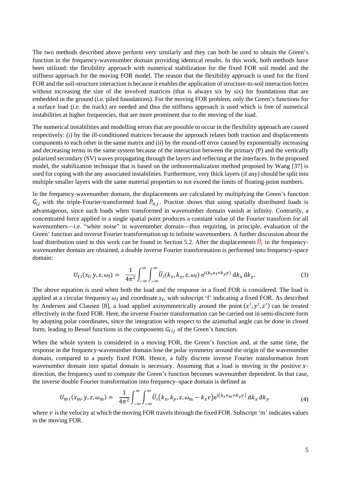The two methods described above perform very similarly and they can both be used to obtain the Green's function in the frequency-wavenumber domain providing identical results. In this work, both methods have been utilized: the flexibility approach with numerical stabilization for the fixed FOR soil model and the stiffness approach for the moving FOR model. The reason that the flexibility approach is used for the fixed FOR and the soil-structure interaction is because it enables the application of structure-to-soil interaction forces without increasing the size of the involved matrices (that is always six by six) for foundations that are embedded in the ground (i.e. piled foundations). For the moving FOR problem, only the Green's functions for a surface load (i.e. the track) are needed and thus the stiffness approach is used which is free of numerical instabilities at higher frequencies, that are more prominent due to the moving of the load.

The numerical instabilities and modelling errors that are possible to occur in the flexibility approach are caused respectively: (i) by the ill-conditioned matrices because the approach relates both traction and displacements components to each other in the same matrix and (ii) by the round-off error caused by exponentially increasing and decreasing terms in the same system because of the interaction between the primary (P) and the vertically polarized secondary (SV) waves propagating through the layers and reflecting at the interfaces. In the proposed model, the stabilization technique that is based on the orthonormalization method proposed by Wang [37] is used for coping with the any associated instabilities. Furthermore, very thick layers (if any) should be split into multiple smaller layers with the same material properties to not exceed the limits of floating-point numbers.

In the frequency-wavenumber domain, the displacements are calculated by multiplying the Green's function  $G_{ij}$  with the triple-Fourier-transformed load  $P_{n,j}$ . Practise shows that using spatially distributed loads is advantageous, since such loads when transformed in wavenumber domain vanish at infinity. Contrarily, a concentrated force applied in a single spatial point produces a constant value of the Fourier transform for all wavenumbers—i.e. "white noise" in wavenumber domain—thus requiring, in principle, evaluation of the Green' function and inverse Fourier transformation up to infinite wavenumbers. A further discussion about the load distribution used in this work can be found in Section 5.2. After the displacements  $\overline{U}_i$  in the frequencywavenumber domain are obtained, a double inverse Fourier transformation is performed into frequency-space domain:

$$
U_{f i}(x_f, y, z, \omega_f) = \frac{1}{4\pi^2} \int_{-\infty}^{\infty} \int_{-\infty}^{\infty} \overline{U}_i(k_x, k_y, z, \omega_f) e^{i(k_x x_f + k_y y)} dk_x dk_y.
$$
 (3)

The above equation is used when both the load and the response in a fixed FOR is considered. The load is applied at a circular frequency  $\omega_f$  and coordinate  $x_f$ , with subscript 'f' indicating a fixed FOR. As described by Andersen and Clausen [8], a load applied axisymmetrically around the point  $(x', y', z')$  can be treated effectively in the fixed FOR. Here, the inverse Fourier transformation can be carried out in semi-discrete form by adopting polar coordinates, since the integration with respect to the azimuthal angle can be done in closed form, leading to Bessel functions in the components  $G_{f i j}$  of the Green's function.

When the whole system is considered in a moving FOR, the Green's function and, at the same time, the response in the frequency-wavenumber domain lose the polar symmetry around the origin of the wavenumber domain, compared to a purely fixed FOR. Hence, a fully discrete inverse Fourier transformation from wavenumber domain into spatial domain is necessary. Assuming that a load is moving in the positive  $x$ direction, the frequency used to compute the Green's function becomes wavenumber dependent. In that case, the inverse double Fourier transformation into frequency–space domain is defined as

$$
U_{\mathbf{m}\,i}(x_{\mathbf{m}},y,z,\omega_{\mathbf{m}}) = \frac{1}{4\pi^2} \int_{-\infty}^{\infty} \int_{-\infty}^{\infty} \overline{U}_i(k_x,k_y,z,\omega_{\mathbf{m}} - k_x \nu) e^{i(k_x x_{\mathbf{m}} + k_y \nu)} dk_x dk_y \tag{4}
$$

where  $\nu$  is the velocity at which the moving FOR travels through the fixed FOR. Subscript 'm' indicates values in the moving FOR.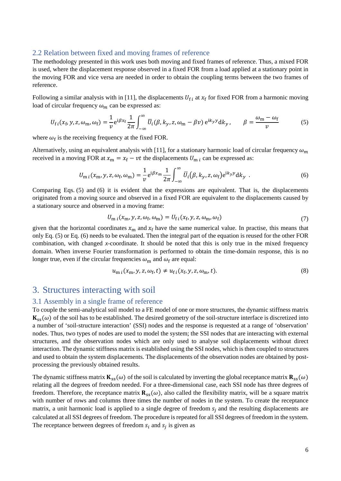#### 2.2 Relation between fixed and moving frames of reference

The methodology presented in this work uses both moving and fixed frames of reference. Thus, a mixed FOR is used, where the displacement response observed in a fixed FOR from a load applied at a stationary point in the moving FOR and vice versa are needed in order to obtain the coupling terms between the two frames of reference.

Following a similar analysis with in [11], the displacements  $U_{fi}$  at  $x_f$  for fixed FOR from a harmonic moving load of circular frequency  $\omega_m$  can be expressed as:

$$
U_{f i}(x_f, y, z, \omega_m, \omega_f) = \frac{1}{v} e^{i\beta x_f} \frac{1}{2\pi} \int_{-\infty}^{\infty} \overline{U}_i(\beta, k_y, z, \omega_m - \beta v) e^{ik_y y} dk_y, \qquad \beta = \frac{\omega_m - \omega_f}{v}
$$
(5)

where  $\omega_f$  is the receiving frequency at the fixed FOR.

Alternatively, using an equivalent analysis with [11], for a stationary harmonic load of circular frequency  $\omega_m$ received in a moving FOR at  $x_m = x_f - vt$  the displacements  $U_{m i}$  can be expressed as:

$$
U_{\mathbf{m}\,i}(x_{\mathbf{m}},y,z,\omega_{\mathbf{f}},\omega_{\mathbf{m}}) = \frac{1}{v} e^{i\beta x_{\mathbf{m}}}\frac{1}{2\pi} \int_{-\infty}^{\infty} \overline{U}_i(\beta,k_y,z,\omega_{\mathbf{f}}) e^{ik_y y} dk_y
$$
 (6)

Comparing Eqs. (5) and (6) it is evident that the expressions are equivalent. That is, the displacements originated from a moving source and observed in a fixed FOR are equivalent to the displacements caused by a stationary source and observed in a moving frame:

$$
U_{\mathbf{m}\,i}(x_{\mathbf{m}},y,z,\omega_{\mathbf{f}},\omega_{\mathbf{m}}) = U_{\mathbf{f}\,i}(x_{\mathbf{f}},y,z,\omega_{\mathbf{m}},\omega_{\mathbf{f}}) \tag{7}
$$

given that the horizontal coordinates  $x_m$  and  $x_f$  have the same numerical value. In practise, this means that only Eq. (5) or Eq. (6) needs to be evaluated. Then the integral part of the equation is reused for the other FOR combination, with changed *x*-coordinate. It should be noted that this is only true in the mixed frequency domain. When inverse Fourier transformation is performed to obtain the time-domain response, this is no longer true, even if the circular frequencies  $\omega_{\rm m}$  and  $\omega_{\rm f}$  are equal:

$$
u_{m i}(x_m, y, z, \omega_f, t) \neq u_{f i}(x_f, y, z, \omega_m, t). \tag{8}
$$

### 3. Structures interacting with soil

#### 3.1 Assembly in a single frame of reference

To couple the semi-analytical soil model to a FE model of one or more structures, the dynamic stiffness matrix  $\mathbf{K}_{ss}(\omega)$  of the soil has to be established. The desired geometry of the soil-structure interface is discretized into a number of 'soil-structure interaction' (SSI) nodes and the response is requested at a range of 'observation' nodes. Thus, two types of nodes are used to model the system; the SSI nodes that are interacting with external structures, and the observation nodes which are only used to analyse soil displacements without direct interaction. The dynamic stiffness matrix is established using the SSI nodes, which is then coupled to structures and used to obtain the system displacements. The displacements of the observation nodes are obtained by postprocessing the previously obtained results.

The dynamic stiffness matrix  $\mathbf{K}_{ss}(\omega)$  of the soil is calculated by inverting the global receptance matrix  $\mathbf{R}_{ss}(\omega)$ relating all the degrees of freedom needed. For a three-dimensional case, each SSI node has three degrees of freedom. Therefore, the receptance matrix  $\mathbf{R}_{ss}(\omega)$ , also called the flexibility matrix, will be a square matrix with number of rows and columns three times the number of nodes in the system. To create the receptance matrix, a unit harmonic load is applied to a single degree of freedom  $s_i$  and the resulting displacements are calculated at all SSI degrees of freedom. The procedure is repeated for all SSI degrees of freedom in the system. The receptance between degrees of freedom  $s_i$  and  $s_i$  is given as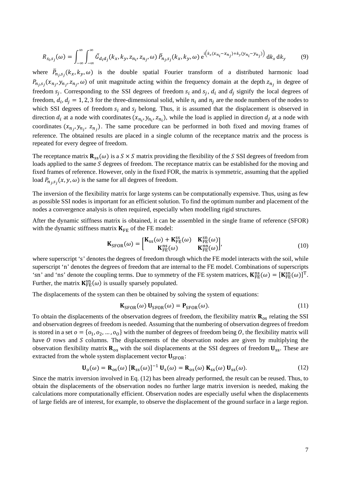$$
R_{s_i,s_j}(\omega) = \int_{-\infty}^{\infty} \int_{-\infty}^{\infty} \bar{G}_{d_i d_j}(k_x, k_y, z_{n_i}, z_{n_j}, \omega) \, \bar{P}_{n_j,s_j}(k_x, k_y, \omega) \, e^{i(k_x(x_{n_i} - x_{n_j}) + k_y(y_{n_i} - y_{n_j}))} \, dk_x \, dk_y \tag{9}
$$

where  $P_{n_j, s_j}(k_x, k_y, \omega)$  is the double spatial Fourier transform of a distributed harmonic load  $P_{n_i,s_i}(x_{n_i},y_{n_i},z_{n_i},\omega)$  of unit magnitude acting within the frequency domain at the depth  $z_{n_i}$  in degree of freedom  $s_i$ . Corresponding to the SSI degrees of freedom  $s_i$  and  $s_j$ ,  $d_i$  and  $d_j$  signify the local degrees of freedom,  $d_i$ ,  $d_i = 1, 2, 3$  for the three-dimensional solid, while  $n_i$  and  $n_i$  are the node numbers of the nodes to which SSI degrees of freedom  $s_i$  and  $s_j$  belong. Thus, it is assumed that the displacement is observed in direction  $d_i$  at a node with coordinates  $(x_{n_i}, y_{n_i}, z_{n_i})$ , while the load is applied in direction  $d_j$  at a node with coordinates  $(x_{n_i}, y_{n_i}, z_{n_i})$ . The same procedure can be performed in both fixed and moving frames of reference. The obtained results are placed in a single column of the receptance matrix and the process is repeated for every degree of freedom.

The receptance matrix  $\mathbf{R}_{ss}(\omega)$  is a  $S \times S$  matrix providing the flexibility of the SSSI degrees of freedom from loads applied to the same S degrees of freedom. The receptance matrix can be established for the moving and fixed frames of reference. However, only in the fixed FOR, the matrix is symmetric, assuming that the applied load  $P_{n_i, s_i}(x, y, \omega)$  is the same for all degrees of freedom.

The inversion of the flexibility matrix for large systems can be computationally expensive. Thus, using as few as possible SSI nodes is important for an efficient solution. To find the optimum number and placement of the nodes a convergence analysis is often required, especially when modelling rigid structures.

After the dynamic stiffness matrix is obtained, it can be assembled in the single frame of reference (SFOR) with the dynamic stiffness matrix  $K_{FF}$  of the FE model:

$$
\mathbf{K}_{SFOR}(\omega) = \begin{bmatrix} \mathbf{K}_{ss}(\omega) + \mathbf{K}_{FE}^{SS}(\omega) & \mathbf{K}_{FE}^{SB}(\omega) \\ \mathbf{K}_{FE}^{BS}(\omega) & \mathbf{K}_{FE}^{BS}(\omega) \end{bmatrix},\tag{10}
$$

where superscript 's' denotes the degrees of freedom through which the FE model interacts with the soil, while superscript 'n' denotes the degrees of freedom that are internal to the FE model. Combinations of superscripts 'sn' and 'ns' denote the coupling terms. Due to symmetry of the FE system matrices,  $\mathbf{K}_{FE}^{ns}(\omega) = [\mathbf{K}_{FE}^{sn}(\omega)]^T$ . Further, the matrix  $\mathbf{K}_{FE}^{sn}(\omega)$  is usually sparsely populated.

The displacements of the system can then be obtained by solving the system of equations:

$$
\mathbf{K}_{\text{SFOR}}(\omega) \mathbf{U}_{\text{SFOR}}(\omega) = \mathbf{P}_{\text{SFOR}}(\omega). \tag{11}
$$

To obtain the displacements of the observation degrees of freedom, the flexibility matrix  $\mathbf{R}_{\alpha s}$  relating the SSI and observation degrees of freedom is needed. Assuming that the numbering of observation degrees of freedom is stored in a set  $o = \{o_1, o_2, ..., o_0\}$  with the number of degrees of freedom being O, the flexibility matrix will have  $O$  rows and  $S$  columns. The displacements of the observation nodes are given by multiplying the observation flexibility matrix  $\mathbf{R}_{os}$  with the soil displacements at the SSI degrees of freedom  $\mathbf{U}_{ss}$ . These are extracted from the whole system displacement vector  $U_{SFOR}$ :

$$
\mathbf{U}_{\text{o}}(\omega) = \mathbf{R}_{\text{os}}(\omega) [\mathbf{R}_{\text{ss}}(\omega)]^{-1} \mathbf{U}_{\text{s}}(\omega) = \mathbf{R}_{\text{os}}(\omega) \mathbf{K}_{\text{ss}}(\omega) \mathbf{U}_{\text{ss}}(\omega). \tag{12}
$$

Since the matrix inversion involved in Eq. (12) has been already performed, the result can be reused. Thus, to obtain the displacements of the observation nodes no further large matrix inversion is needed, making the calculations more computationally efficient. Observation nodes are especially useful when the displacements of large fields are of interest, for example, to observe the displacement of the ground surface in a large region.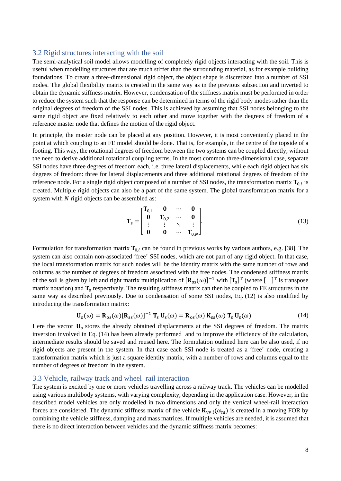#### 3.2 Rigid structures interacting with the soil

The semi-analytical soil model allows modelling of completely rigid objects interacting with the soil. This is useful when modelling structures that are much stiffer than the surrounding material, as for example building foundations. To create a three-dimensional rigid object, the object shape is discretized into a number of SSI nodes. The global flexibility matrix is created in the same way as in the previous subsection and inverted to obtain the dynamic stiffness matrix. However, condensation of the stiffness matrix must be performed in order to reduce the system such that the response can be determined in terms of the rigid body modes rather than the original degrees of freedom of the SSI nodes. This is achieved by assuming that SSI nodes belonging to the same rigid object are fixed relatively to each other and move together with the degrees of freedom of a reference master node that defines the motion of the rigid object.

In principle, the master node can be placed at any position. However, it is most conveniently placed in the point at which coupling to an FE model should be done. That is, for example, in the centre of the topside of a footing. This way, the rotational degrees of freedom between the two systems can be coupled directly, without the need to derive additional rotational coupling terms. In the most common three-dimensional case, separate SSI nodes have three degrees of freedom each, i.e. three lateral displacements, while each rigid object has six degrees of freedom: three for lateral displacements and three additional rotational degrees of freedom of the reference node. For a single rigid object composed of a number of SSI nodes, the transformation matrix  $T_{0,i}$  is created. Multiple rigid objects can also be a part of the same system. The global transformation matrix for a system with  $N$  rigid objects can be assembled as:

$$
\mathbf{T}_{s} = \begin{bmatrix} \mathbf{T}_{0,1} & \mathbf{0} & \cdots & \mathbf{0} \\ \mathbf{0} & \mathbf{T}_{0,2} & \cdots & \mathbf{0} \\ \vdots & \vdots & \ddots & \vdots \\ \mathbf{0} & \mathbf{0} & \cdots & \mathbf{T}_{0,N} \end{bmatrix} .
$$
 (13)

Formulation for transformation matrix  $T_{0,i}$  can be found in previous works by various authors, e.g. [38]. The system can also contain non-associated 'free' SSI nodes, which are not part of any rigid object. In that case, the local transformation matrix for such nodes will be the identity matrix with the same number of rows and columns as the number of degrees of freedom associated with the free nodes. The condensed stiffness matrix of the soil is given by left and right matrix multiplication of  $[\mathbf{R}_{ss}(\omega)]^{-1}$  with  $[\mathbf{T}_s]^T$  (where  $\begin{bmatrix} 1 \end{bmatrix}^T$  is transpose matrix notation) and  $T_s$  respectively. The resulting stiffness matrix can then be coupled to FE structures in the same way as described previously. Due to condensation of some SSI nodes, Eq. (12) is also modified by introducing the transformation matrix:

$$
\mathbf{U}_{o}(\omega) = \mathbf{R}_{os}(\omega) [\mathbf{R}_{ss}(\omega)]^{-1} \mathbf{T}_{s} \mathbf{U}_{s}(\omega) = \mathbf{R}_{os}(\omega) \mathbf{K}_{ss}(\omega) \mathbf{T}_{s} \mathbf{U}_{s}(\omega).
$$
 (14)

Here the vector  $U_s$  stores the already obtained displacements at the SSI degrees of freedom. The matrix inversion involved in Eq. (14) has been already performed and to improve the efficiency of the calculation, intermediate results should be saved and reused here. The formulation outlined here can be also used, if no rigid objects are present in the system. In that case each SSI node is treated as a 'free' node, creating a transformation matrix which is just a square identity matrix, with a number of rows and columns equal to the number of degrees of freedom in the system.

#### 3.3 Vehicle, railway track and wheel–rail interaction

The system is excited by one or more vehicles travelling across a railway track. The vehicles can be modelled using various multibody systems, with varying complexity, depending in the application case. However, in the described model vehicles are only modelled in two dimensions and only the vertical wheel-rail interaction forces are considered. The dynamic stiffness matrix of the vehicle  $\mathbf{K}_{vv,i}(\omega_m)$  is created in a moving FOR by combining the vehicle stiffness, damping and mass matrices. If multiple vehicles are needed, it is assumed that there is no direct interaction between vehicles and the dynamic stiffness matrix becomes: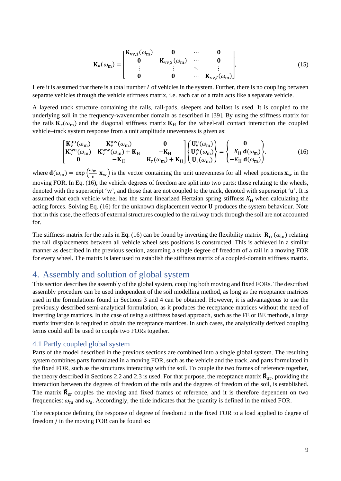$$
\mathbf{K}_{\mathbf{v}}(\omega_{\mathbf{m}}) = \begin{bmatrix} \mathbf{K}_{\mathbf{v}\mathbf{v},1}(\omega_{\mathbf{m}}) & \mathbf{0} & \cdots & \mathbf{0} \\ \mathbf{0} & \mathbf{K}_{\mathbf{v}\mathbf{v},2}(\omega_{\mathbf{m}}) & \cdots & \mathbf{0} \\ \vdots & \vdots & \ddots & \vdots \\ \mathbf{0} & \mathbf{0} & \cdots & \mathbf{K}_{\mathbf{v}\mathbf{v},I}(\omega_{\mathbf{m}}) \end{bmatrix},
$$
(15)

Here it is assumed that there is a total number  $I$  of vehicles in the system. Further, there is no coupling between separate vehicles through the vehicle stiffness matrix, i.e. each car of a train acts like a separate vehicle.

A layered track structure containing the rails, rail-pads, sleepers and ballast is used. It is coupled to the underlying soil in the frequency-wavenumber domain as described in [39]. By using the stiffness matrix for the rails  $K_r(\omega_m)$  and the diagonal stiffness matrix  $K_H$  for the wheel-rail contact interaction the coupled vehicle–track system response from a unit amplitude unevenness is given as:

$$
\begin{bmatrix}\n\mathbf{K}_{\mathbf{v}}^{\mathbf{u}}(\omega_{\mathbf{m}}) & \mathbf{K}_{\mathbf{v}}^{\mathbf{u}\mathbf{w}}(\omega_{\mathbf{m}}) & \mathbf{0} \\
\mathbf{K}_{\mathbf{v}}^{\mathbf{w}}(\omega_{\mathbf{m}}) & \mathbf{K}_{\mathbf{v}}^{\mathbf{w}\mathbf{w}}(\omega_{\mathbf{m}}) + \mathbf{K}_{\mathbf{H}} & -\mathbf{K}_{\mathbf{H}} \\
\mathbf{0} & -\mathbf{K}_{\mathbf{H}} & \mathbf{K}_{\mathbf{r}}(\omega_{\mathbf{m}}) + \mathbf{K}_{\mathbf{H}}\n\end{bmatrix}\n\begin{bmatrix}\n\mathbf{U}_{\mathbf{v}}^{\mathbf{u}}(\omega_{\mathbf{m}}) \\
\mathbf{U}_{\mathbf{v}}^{\mathbf{w}}(\omega_{\mathbf{m}}) \\
\mathbf{U}_{\mathbf{r}}(\omega_{\mathbf{m}})\n\end{bmatrix} = \n\begin{Bmatrix}\n\mathbf{0} \\
K_{\mathbf{H}} \mathbf{d}(\omega_{\mathbf{m}}) \\
-K_{\mathbf{H}} \mathbf{d}(\omega_{\mathbf{m}})\n\end{Bmatrix}.
$$
\n(16)

where  $\mathbf{d}(\omega_m) = \exp\left(\frac{\omega_m}{v} \mathbf{x}_w\right)$  is the vector containing the unit unevenness for all wheel positions  $\mathbf{x}_w$  in the moving FOR. In Eq. (16), the vehicle degrees of freedom are split into two parts: those relating to the wheels, denoted with the superscript 'w', and those that are not coupled to the track, denoted with superscript 'u'. It is assumed that each vehicle wheel has the same linearized Hertzian spring stiffness  $K_H$  when calculating the acting forces. Solving Eq. (16) for the unknown displacement vector **U** produces the system behaviour. Note that in this case, the effects of external structures coupled to the railway track through the soil are not accounted for.

The stiffness matrix for the rails in Eq. (16) can be found by inverting the flexibility matrix  $\mathbf{R}_{rr}(\omega_m)$  relating the rail displacements between all vehicle wheel sets positions is constructed. This is achieved in a similar manner as described in the previous section, assuming a single degree of freedom of a rail in a moving FOR for every wheel. The matrix is later used to establish the stiffness matrix of a coupled-domain stiffness matrix.

# 4. Assembly and solution of global system

This section describes the assembly of the global system, coupling both moving and fixed FORs. The described assembly procedure can be used independent of the soil modelling method, as long as the receptance matrices used in the formulations found in Sections 3 and 4 can be obtained. However, it is advantageous to use the previously described semi-analytical formulation, as it produces the receptance matrices without the need of inverting large matrices. In the case of using a stiffness based approach, such as the FE or BE methods, a large matrix inversion is required to obtain the receptance matrices. In such cases, the analytically derived coupling terms could still be used to couple two FORs together.

#### 4.1 Partly coupled global system

Parts of the model described in the previous sections are combined into a single global system. The resulting system combines parts formulated in a moving FOR, such as the vehicle and the track, and parts formulated in the fixed FOR, such as the structures interacting with the soil. To couple the two frames of reference together, the theory described in Sections 2.2 and 2.3 is used. For that purpose, the receptance matrix  $\tilde{R}_{sr}$ , providing the interaction between the degrees of freedom of the rails and the degrees of freedom of the soil, is established. The matrix  $\tilde{\mathbf{R}}_{sr}$  couples the moving and fixed frames of reference, and it is therefore dependent on two frequencies:  $\omega_{\rm m}$  and  $\omega_{\rm s}$ . Accordingly, the tilde indicates that the quantity is defined in the mixed FOR.

The receptance defining the response of degree of freedom *i* in the fixed FOR to a load applied to degree of freedom  $j$  in the moving FOR can be found as: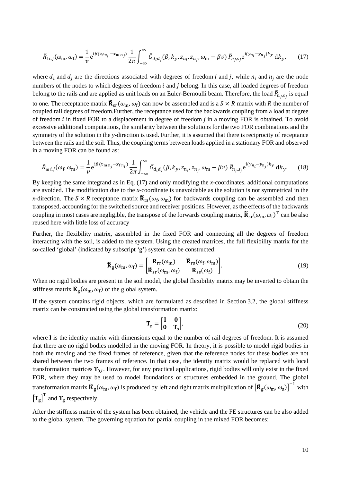$$
\tilde{R}_{f i,j}(\omega_m, \omega_f) = \frac{1}{\nu} e^{i\beta (x_{f n_i} - x_{m n_j})} \frac{1}{2\pi} \int_{-\infty}^{\infty} \bar{G}_{d_i d_j}(\beta, k_y, z_{n_i}, z_{n_j}, \omega_m - \beta \nu) \, \bar{P}_{n_j, s_j} e^{i(y_{n_i} - y_{n_j}) k_y} \, dk_y, \tag{17}
$$

where  $d_i$  and  $d_j$  are the directions associated with degrees of freedom *i* and *j*, while  $n_i$  and  $n_j$  are the node numbers of the nodes to which degrees of freedom  $i$  and  $j$  belong. In this case, all loaded degrees of freedom belong to the rails and are applied as unit loads on an Euler-Bernoulli beam. Therefore, the load  $P_{n_j,s_j}$  is equal to one. The receptance matrix  $\tilde{\mathbf{R}}_{sr}(\omega_m, \omega_f)$  can now be assembled and is a  $S \times R$  matrix with R the number of coupled rail degrees of freedom.Further, the receptance used for the backwards coupling from a load at degree of freedom  $i$  in fixed FOR to a displacement in degree of freedom  $j$  in a moving FOR is obtained. To avoid excessive additional computations, the similarity between the solutions for the two FOR combinations and the symmetry of the solution in the *y*-direction is used. Further, it is assumed that there is reciprocity of receptance between the rails and the soil. Thus, the coupling terms between loads applied in a stationary FOR and observed in a moving FOR can be found as:

$$
\tilde{R}_{m i,j}(\omega_f, \omega_m) = \frac{1}{v} e^{i\beta (x_{m n_j} - x_{fn_i})} \frac{1}{2\pi} \int_{-\infty}^{\infty} \bar{G}_{d_i d_j}(\beta, k_y, z_{n_i}, z_{n_j}, \omega_m - \beta v) \, \bar{P}_{n_j, s_j} e^{i(y_{n_i} - y_{n_j}) k_y} \, dk_y. \tag{18}
$$

By keeping the same integrand as in Eq. (17) and only modifying the *x*-coordinates, additional computations are avoided. The modification due to the *x*-coordinate is unavoidable as the solution is not symmetrical in the *x*-direction. The  $S \times R$  receptance matrix  $\tilde{\mathbf{R}}_{rs}(\omega_f, \omega_m)$  for backwards coupling can be assembled and then transposed, accounting for the switched source and receiver positions. However, as the effects of the backwards coupling in most cases are negligible, the transpose of the forwards coupling matrix,  $\tilde{R}_{sr}(\omega_m, \omega_f)^T$  can be also reused here with little loss of accuracy

Further, the flexibility matrix, assembled in the fixed FOR and connecting all the degrees of freedom interacting with the soil, is added to the system. Using the created matrices, the full flexibility matrix for the so-called 'global' (indicated by subscript 'g') system can be constructed:

$$
\widetilde{\mathbf{R}}_{\mathrm{g}}(\omega_{\mathrm{m}}, \omega_{\mathrm{f}}) = \begin{bmatrix} \mathbf{R}_{\mathrm{rr}}(\omega_{\mathrm{m}}) & \widetilde{\mathbf{R}}_{\mathrm{rs}}(\omega_{\mathrm{f}}, \omega_{\mathrm{m}}) \\ \widetilde{\mathbf{R}}_{\mathrm{sr}}(\omega_{\mathrm{m}}, \omega_{\mathrm{f}}) & \mathbf{R}_{\mathrm{ss}}(\omega_{\mathrm{f}}) \end{bmatrix} . \tag{19}
$$

When no rigid bodies are present in the soil model, the global flexibility matrix may be inverted to obtain the stiffness matrix  $\widetilde{\mathbf{K}}_{g}(\omega_{m}, \omega_{f})$  of the global system.

If the system contains rigid objects, which are formulated as described in Section 3.2, the global stiffness matrix can be constructed using the global transformation matrix:

$$
\mathbf{T}_{g} = \begin{bmatrix} \mathbf{I} & \mathbf{0} \\ \mathbf{0} & \mathbf{T}_{s} \end{bmatrix},\tag{20}
$$

where  $\bf{I}$  is the identity matrix with dimensions equal to the number of rail degrees of freedom. It is assumed that there are no rigid bodies modelled in the moving FOR. In theory, it is possible to model rigid bodies in both the moving and the fixed frames of reference, given that the reference nodes for these bodies are not shared between the two frames of reference. In that case, the identity matrix would be replaced with local transformation matrices  $T_{0,i}$ . However, for any practical applications, rigid bodies will only exist in the fixed FOR, where they may be used to model foundations or structures embedded in the ground. The global transformation matrix  $\widetilde{K}_g(\omega_m, \omega_f)$  is produced by left and right matrix multiplication of  $\left[\widetilde{R}_g(\omega_m, \omega_s)\right]^{-1}$  with  $\left[T_g\right]^T$  and  $T_g$  respectively.

After the stiffness matrix of the system has been obtained, the vehicle and the FE structures can be also added to the global system. The governing equation for partial coupling in the mixed FOR becomes: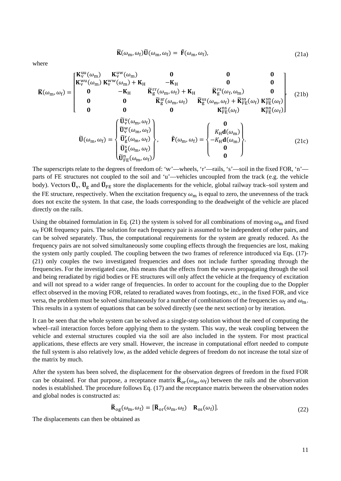$$
\widetilde{\mathbf{K}}(\omega_{\rm m}, \omega_{\rm f})\widetilde{\mathbf{U}}(\omega_{\rm m}, \omega_{\rm f}) = \widetilde{\mathbf{F}}(\omega_{\rm m}, \omega_{\rm f}),\tag{21a}
$$

where

$$
\tilde{\mathbf{K}}(\omega_{\rm m}, \omega_{\rm f}) = \begin{bmatrix}\n\mathbf{K}_{\rm v}^{\rm uu}(\omega_{\rm m}) & \mathbf{K}_{\rm v}^{\rm uw}(\omega_{\rm m}) & \mathbf{0} & \mathbf{0} & \mathbf{0} \\
\mathbf{K}_{\rm v}^{\rm Wu}(\omega_{\rm m}) & \mathbf{K}_{\rm v}^{\rm vw}(\omega_{\rm m}) + \mathbf{K}_{\rm H} & \mathbf{K}_{\rm F}^{\rm tr}(\omega_{\rm m}, \omega_{\rm f}) + \mathbf{K}_{\rm H} & \mathbf{0} & \mathbf{0} \\
\mathbf{0} & -\mathbf{K}_{\rm H} & \mathbf{\tilde{K}}_{\rm g}^{\rm tr}(\omega_{\rm m}, \omega_{\rm f}) + \mathbf{K}_{\rm H} & \mathbf{\tilde{K}}_{\rm g}^{\rm F}(\omega_{\rm f}, \omega_{\rm m}) & \mathbf{0} \\
\mathbf{0} & \mathbf{0} & \mathbf{\tilde{K}}_{\rm g}^{\rm F}(\omega_{\rm m}, \omega_{\rm f}) & \mathbf{\tilde{K}}_{\rm F}^{\rm S}(\omega_{\rm f}, \omega_{\rm f}) + \mathbf{\tilde{K}}_{\rm F}^{\rm S}(\omega_{\rm f}) & \mathbf{K}_{\rm F}^{\rm R}(\omega_{\rm f}) \\
\mathbf{0} & \mathbf{0} & \mathbf{0} & \mathbf{K}_{\rm F}^{\rm RS}(\omega_{\rm f}) & \mathbf{K}_{\rm F}^{\rm RS}(\omega_{\rm f}) \\
\mathbf{0} & \mathbf{0} & \mathbf{0} & \mathbf{K}_{\rm F}^{\rm RS}(\omega_{\rm f}) & \mathbf{K}_{\rm F}^{\rm RS}(\omega_{\rm f})\n\end{bmatrix} \\
\mathbf{0}(\omega_{\rm m}, \omega_{\rm f}) = \begin{Bmatrix}\n\mathbf{U}_{\rm v}^{\rm u}(\omega_{\rm m}, \omega_{\rm f}) \\
\mathbf{U}_{\rm g}^{\rm u}(\omega_{\rm m}, \omega_{\rm f}) \\
\mathbf{U}_{\rm g}^{\rm u}(\omega_{\rm m}, \omega_{\rm f}) \\
\mathbf{U}_{\rm F}^{\rm u}(\omega_{\rm m}, \omega_{\rm f})\n\end{bmatrix}, \quad \tilde{\mathbf{F}}(\omega_{\rm
$$

The superscripts relate to the degrees of freedom of: 'w'—wheels, 'r'—rails, 's'—soil in the fixed FOR, 'n' parts of FE structures not coupled to the soil and 'u'—vehicles uncoupled from the track (e.g. the vehicle body). Vectors  $\tilde{\mathbf{U}}_{\mathbf{v}}, \tilde{\mathbf{U}}_{\mathbf{g}}$  and  $\tilde{\mathbf{U}}_{\text{FE}}$  store the displacements for the vehicle, global railway track–soil system and the FE structure, respectively. When the excitation frequency  $\omega_m$  is equal to zero, the unevenness of the track does not excite the system. In that case, the loads corresponding to the deadweight of the vehicle are placed directly on the rails.

Using the obtained formulation in Eq. (21) the system is solved for all combinations of moving  $\omega_m$  and fixed  $\omega_f$  FOR frequency pairs. The solution for each frequency pair is assumed to be independent of other pairs, and can be solved separately. Thus, the computational requirements for the system are greatly reduced. As the frequency pairs are not solved simultaneously some coupling effects through the frequencies are lost, making the system only partly coupled. The coupling between the two frames of reference introduced via Eqs. (17)- (21) only couples the two investigated frequencies and does not include further spreading through the frequencies. For the investigated case, this means that the effects from the waves propagating through the soil and being reradiated by rigid bodies or FE structures will only affect the vehicle at the frequency of excitation and will not spread to a wider range of frequencies. In order to account for the coupling due to the Doppler effect observed in the moving FOR, related to reradiated waves from footings, etc., in the fixed FOR, and vice versa, the problem must be solved simultaneously for a number of combinations of the frequencies  $\omega_f$  and  $\omega_m$ . This results in a system of equations that can be solved directly (see the next section) or by iteration.

It can be seen that the whole system can be solved as a single-step solution without the need of computing the wheel–rail interaction forces before applying them to the system. This way, the weak coupling between the vehicle and external structures coupled via the soil are also included in the system. For most practical applications, these effects are very small. However, the increase in computational effort needed to compute the full system is also relatively low, as the added vehicle degrees of freedom do not increase the total size of the matrix by much.

After the system has been solved, the displacement for the observation degrees of freedom in the fixed FOR can be obtained. For that purpose, a receptance matrix  $\tilde{\mathbf{R}}_{or}(\omega_{m}, \omega_{f})$  between the rails and the observation nodes is established. The procedure follows Eq. (17) and the receptance matrix between the observation nodes and global nodes is constructed as:

$$
\tilde{\mathbf{R}}_{og}(\omega_{\rm m}, \omega_{\rm f}) = [\tilde{\mathbf{R}}_{or}(\omega_{\rm m}, \omega_{\rm f}) \quad \mathbf{R}_{os}(\omega_{\rm f})]. \tag{22}
$$

The displacements can then be obtained as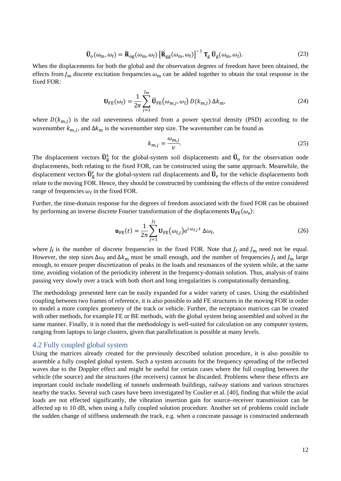$$
\widetilde{\mathbf{U}}_{o}(\omega_{\rm m}, \omega_{\rm f}) = \widetilde{\mathbf{R}}_{og}(\omega_{\rm m}, \omega_{\rm f}) \left[ \widetilde{\mathbf{R}}_{gg}(\omega_{\rm m}, \omega_{\rm f}) \right]^{-1} \mathbf{T}_{g} \widetilde{\mathbf{U}}_{g}(\omega_{\rm m}, \omega_{\rm f}). \tag{23}
$$

When the displacements for both the global and the observation degrees of freedom have been obtained, the effects from  $J_m$  discrete excitation frequencies  $\omega_m$  can be added together to obtain the total response in the fixed FOR:

$$
\mathbf{U}_{\rm FE}(\omega_{\rm f}) = \frac{1}{2\pi} \sum_{j=1}^{J_{\rm m}} \widetilde{\mathbf{U}}_{\rm FE}(\omega_{\rm m,j}, \omega_{\rm f}) D(k_{\rm m,j}) \Delta k_{\rm m}, \qquad (24)
$$

where  $D(k_{m,j})$  is the rail unevenness obtained from a power spectral density (PSD) according to the wavenumber  $k_{m,i}$ , and  $\Delta k_m$  is the wavenumber step size. The wavenumber can be found as

$$
k_{\mathrm{m},j} = \frac{\omega_{\mathrm{m},j}}{\nu}.\tag{25}
$$

The displacement vectors  $\tilde{\mathbf{U}}_{g}^{s}$  for the global-system soil displacements and  $\tilde{\mathbf{U}}_{o}$  for the observation node displacements, both relating to the fixed FOR, can be constructed using the same approach. Meanwhile, the displacement vectors  $\dot{\mathbf{U}}_{g}^{r}$  for the global-system rail displacements and  $\dot{\mathbf{U}}_{v}$  for the vehicle displacements both relate to the moving FOR. Hence, they should be constructed by combining the effects of the entire considered range of frequencies  $\omega_f$  in the fixed FOR.

Further, the time-domain response for the degrees of freedom associated with the fixed FOR can be obtained by performing an inverse discrete Fourier transformation of the displacements  $U_{FE}(\omega_s)$ :

$$
\mathbf{u}_{\text{FE}}(t) = \frac{1}{2\pi} \sum_{j=1}^{f_{\text{f}}} \mathbf{U}_{\text{FE}}(\omega_{\text{f},j}) e^{i \omega_{\text{f},j} t} \Delta \omega_{\text{f}},
$$
(26)

where  $f_f$  is the number of discrete frequencies in the fixed FOR. Note that  $f_f$  and  $f_m$  need not be equal. However, the step sizes  $\Delta\omega_f$  and  $\Delta k_m$  must be small enough, and the number of frequencies  $f_f$  and  $f_m$  large enough, to ensure proper discretization of peaks in the loads and resonances of the system while, at the same time, avoiding violation of the periodicity inherent in the frequency-domain solution. Thus, analysis of trains passing very slowly over a track with both short and long irregularities is computationally demanding.

The methodology presented here can be easily expanded for a wider variety of cases. Using the established coupling between two frames of reference, it is also possible to add FE structures in the moving FOR in order to model a more complex geometry of the track or vehicle. Further, the receptance matrices can be created with other methods, for example FE or BE methods, with the global system being assembled and solved in the same manner. Finally, it is noted that the methodology is well-suited for calculation on any computer system, ranging from laptops to large clusters, given that parallelization is possible at many levels.

#### 4.2 Fully coupled global system

Using the matrices already created for the previously described solution procedure, it is also possible to assemble a fully coupled global system. Such a system accounts for the frequency spreading of the reflected waves due to the Doppler effect and might be useful for certain cases where the full coupling between the vehicle (the source) and the structures (the receivers) cannot be discarded. Problems where these effects are important could include modelling of tunnels underneath buildings, railway stations and various structures nearby the tracks. Several such cases have been investigated by Coulier et al. [40], finding that while the axial loads are not effected significantly, the vibration insertion gain for source–receiver transmission can be affected up to 10 dB, when using a fully coupled solution procedure. Another set of problems could include the sudden change of stiffness underneath the track, e.g. when a concreate passage is constructed underneath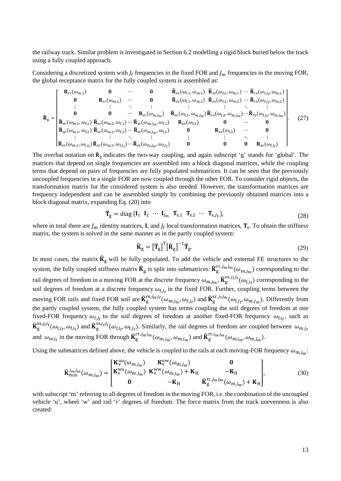the railway track. Similar problem is investigated in Section 6.2 modelling a rigid block buried below the track using a fully coupled approach.

Considering a discretized system with  $f_f$  frequencies in the fixed FOR and  $f_m$  frequencies in the moving FOR, the global receptance matrix for the fully coupled system is assembled as:

$$
\hat{\mathbf{R}}_{g} = \begin{bmatrix}\n\mathbf{R}_{rr}(\omega_{m,1}) & \mathbf{0} & \cdots & \mathbf{0} & \tilde{\mathbf{R}}_{rs}(\omega_{f,1}, \omega_{m,1}) & \tilde{\mathbf{R}}_{rs}(\omega_{f,2}, \omega_{m,1}) & \cdots & \tilde{\mathbf{R}}_{rs}(\omega_{f,f}, \omega_{m,1}) \\
\mathbf{0} & \mathbf{R}_{rr}(\omega_{m,2}) & \cdots & \mathbf{0} & \tilde{\mathbf{R}}_{rs}(\omega_{f,1}, \omega_{m,2}) & \tilde{\mathbf{R}}_{rs}(\omega_{f,2}, \omega_{m,2}) & \cdots & \tilde{\mathbf{R}}_{rs}(\omega_{f,f}, \omega_{m,2}) \\
\vdots & \vdots & \ddots & \vdots & \vdots & \vdots & \ddots & \vdots \\
\mathbf{0} & \mathbf{0} & \cdots & \mathbf{R}_{rr}(\omega_{m,J_m}) & \tilde{\mathbf{R}}_{rs}(\omega_{f,1}, \omega_{m,J_m}) & \tilde{\mathbf{R}}_{rs}(\omega_{f,2}, \omega_{m,J_m}) & \cdots & \tilde{\mathbf{R}}_{rs}(\omega_{f,f}, \omega_{m,J_m}) \\
\tilde{\mathbf{R}}_{sr}(\omega_{m,1}, \omega_{f,1}) & \tilde{\mathbf{R}}_{sr}(\omega_{m,2}, \omega_{f,1}) & \cdots & \tilde{\mathbf{R}}_{sr}(\omega_{m,J_m}, \omega_{f,1}) & \mathbf{R}_{ss}(\omega_{f,1}) & \mathbf{0} & \cdots & \mathbf{0} \\
\tilde{\mathbf{R}}_{sr}(\omega_{m,1}, \omega_{f,2}) & \tilde{\mathbf{R}}_{sr}(\omega_{m,2}, \omega_{f,2}) & \cdots & \tilde{\mathbf{R}}_{sr}(\omega_{m,J_m}, \omega_{f,2}) & \mathbf{0} & \mathbf{R}_{ss}(\omega_{f,2}) & \cdots & \mathbf{0} \\
\vdots & \vdots & \ddots & \vdots & \vdots & \ddots & \vdots \\
\tilde{\mathbf{R}}_{sr}(\omega_{m,1}, \omega_{f,J_f}) & \tilde{\mathbf{R}}_{sr}(\omega_{m,2}, \omega_{f,J_f}) & \cdots & \tilde{\mathbf{R}}_{sr}(\omega_{m,J_m}, \omega_{f,J_f}) & \mathbf{
$$

The overhat notation on  $\hat{\mathbf{R}}_{g}$  indicates the two-way coupling, and again subscript 'g' stands for 'global'. The matrices that depend on single frequencies are assembled into a block diagonal matrices, while the coupling terms that depend on pairs of frequencies are fully populated submatrices. It can be seen that the previously uncoupled frequencies in a single FOR are now coupled through the other FOR. To consider rigid objects, the transformation matrix for the considered system is also needed. However, the transformation matrices are frequency independent and can be assembled simply by combining the previously obtained matrices into a block diagonal matrix, expanding Eq. (20) into

$$
\widehat{\mathbf{T}}_{\mathbf{g}} = \text{diag} \{ \mathbf{I}_1 \ \mathbf{I}_2 \ \cdots \ \mathbf{I}_{J_m} \ \mathbf{T}_{s,1} \ \mathbf{T}_{s,2} \ \cdots \ \mathbf{T}_{s,J_f} \},\tag{28}
$$

where in total there are  $J_m$  identity matrices, **I**, and  $J_f$  local transformation matrices, **T**<sub>s</sub>. To obtain the stiffness matrix, the system is solved in the same manner as in the partly coupled system:

$$
\widehat{\mathbf{K}}_{\mathbf{g}} = \left[\widehat{\mathbf{T}}_{\mathbf{g}}\right]^{\mathrm{T}} \left[\widehat{\mathbf{R}}_{\mathbf{g}}\right]^{-1} \widehat{\mathbf{T}}_{\mathbf{g}}.\tag{29}
$$

In most cases, the matrix  $\hat{\mathbf{K}}_{g}$  will be fully populated. To add the vehicle and external FE structures to the system, the fully coupled stiffness matrix  $\hat{\mathbf{K}}_{g}$  is split into submatrices:  $\hat{\mathbf{K}}_{g}^{rr, J_m}(\omega_{m, j_m})$  corresponding to the rail degrees of freedom in a moving FOR at the discrete frequency  $\omega_{m,j_m}$ ,  $\hat{\mathbf{R}}_g^{ss,j_ff}(\omega_{f,j_f})$  corresponding to the soil degrees of freedom at a discrete frequency  $\omega_{f, i_f}$  in the fixed FOR. Further, coupling terms between the moving FOR rails and fixed FOR soil are  $\hat{\mathbf{R}}_{g}^{rs,j_mJ_f}(\omega_{m,j_m}, \omega_{f,j_f})$  and  $\hat{\mathbf{R}}_{g}^{sr,j_fJ_m}(\omega_{f,j_f}, \omega_{m,j_m})$ . Differently from the partly coupled system, the fully coupled system has terms coupling the soil degrees of freedom at one fixed-FOR frequency  $\omega_{f, i_f}$  to the soil degrees of freedom at another fixed-FOR frequency  $\omega_{f, i_f}$ , such as  $\hat{\mathbf{R}}_{g}^{ss,j_ft_f}(\omega_{f,j_f}, \omega_{f,i_f})$  and  $\hat{\mathbf{R}}_{g}^{ss,i_ff}(\omega_{f,i_f}, \omega_{f,j_f})$ . Similarly, the rail degrees of freedom are coupled between  $\omega_{m,j_f}$ and  $\omega_{m,i_f}$  in the moving FOR through  $\hat{\mathbf{R}}_{g}^{\text{rr},j_{m}i_{m}}(\omega_{m,j_{m}}, \omega_{m,i_{m}})$  and  $\hat{\mathbf{R}}_{g}^{\text{rr},i_{m}j_{m}}(\omega_{m,i_{m}}, \omega_{m,j_{m}})$ .

Using the submatrices defined above, the vehicle is coupled to the rails at each moving-FOR frequency  $\omega_{m,j_m}$ :

$$
\hat{\mathbf{R}}_{\text{mm}}^{j_{\text{m}}j_{\text{m}}}(\omega_{\text{m},j_{\text{m}}}) = \begin{bmatrix} \mathbf{K}_{\text{v}}^{\text{uu}}(\omega_{\text{m},j_{\text{m}}}) & \mathbf{K}_{\text{v}}^{\text{uu}}(\omega_{\text{m},j_{\text{m}}}) & \mathbf{0} \\ \mathbf{K}_{\text{v}}^{\text{wu}}(\omega_{\text{m},j_{\text{m}}}) & \mathbf{K}_{\text{v}}^{\text{ww}}(\omega_{\text{m},j_{\text{m}}}) + \mathbf{K}_{\text{H}} & -\mathbf{K}_{\text{H}} \\ \mathbf{0} & -\mathbf{K}_{\text{H}} & \hat{\mathbf{K}}_{\text{g}}^{\text{rr},j_{\text{m}}j_{\text{m}}}(\omega_{\text{m},j_{\text{m}}}) + \mathbf{K}_{\text{H}} \end{bmatrix},\tag{30}
$$

with subscript 'm' referring to all degrees of freedom in the moving FOR, i.e. the combination of the uncoupled vehicle 'u', wheel 'w' and rail 'r' degrees of freedom. The force matrix from the track unevenness is also created: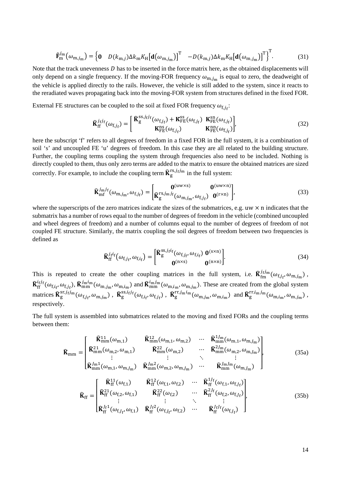$$
\hat{\mathbf{F}}_{\rm m}^{j_{\rm m}}(\omega_{\rm m,j_{\rm m}}) = \left\{ \mathbf{0} \quad D(k_{\rm m,j}) \Delta k_{\rm m} K_{\rm H} \left[ \mathbf{d}(\omega_{\rm m,j_{\rm m}}) \right]^{\rm T} \quad -D(k_{\rm m,j}) \Delta k_{\rm m} K_{\rm H} \left[ \mathbf{d}(\omega_{\rm m,j_{\rm m}}) \right]^{\rm T} \right\}^{\rm T}.
$$
 (31)

Note that the track unevenness  $D$  has to be inserted in the force matrix here, as the obtained displacements will only depend on a single frequency. If the moving-FOR frequency  $\omega_{m,j_m}$  is equal to zero, the deadweight of the vehicle is applied directly to the rails. However, the vehicle is still added to the system, since it reacts to the reradiated waves propagating back into the moving-FOR system from structures defined in the fixed FOR.

External FE structures can be coupled to the soil at fixed FOR frequency  $\omega_{f,j_f}$ :

$$
\widehat{\mathbf{K}}_{\rm ff}^{j_{\rm f}j_{\rm f}}(\omega_{\rm f,j_{\rm f}}) = \begin{bmatrix} \widehat{\mathbf{K}}_{\rm g}^{\rm ss,j_{\rm f}j_{\rm f}}(\omega_{\rm f,j_{\rm f}}) + \mathbf{K}_{\rm FE}^{\rm ss}(\omega_{\rm f,j_{\rm f}}) & \mathbf{K}_{\rm FE}^{\rm sn}(\omega_{\rm f,j_{\rm f}}) \\ \mathbf{K}_{\rm FE}^{\rm ns}(\omega_{\rm f,j_{\rm f}}) & \mathbf{K}_{\rm FE}^{\rm nn}(\omega_{\rm f,j_{\rm f}}) \end{bmatrix},\tag{32}
$$

here the subscript 'f' refers to all degrees of freedom in a fixed FOR in the full system, it is a combination of soil 's' and uncoupled FE 'u' degrees of freedom. In this case they are all related to the building structure. Further, the coupling terms coupling the system through frequencies also need to be included. Nothing is directly coupled to them, thus only zero terms are added to the matrix to ensure the obtained matrices are sized correctly. For example, to include the coupling term  $\mathbf{R}_{g}^{\text{rs}, j}$  in the full system:

$$
\widehat{\mathbf{K}}_{\rm mf}^{j_{\rm m}j_{\rm f}}(\omega_{\rm m,j_{\rm m}},\omega_{\rm f,j_{\rm f}}) = \begin{bmatrix} \mathbf{0}^{(\rm uw \times s)} & \mathbf{0}^{(\rm uw \times n)} \\ \widehat{\mathbf{K}}_{\rm g}^{\rm rs,j_{\rm m}j_{\rm f}}(\omega_{\rm m,j_{\rm m}},\omega_{\rm f,j_{\rm f}}) & \mathbf{0}^{(\rm rxn)} \end{bmatrix},\tag{33}
$$

where the superscripts of the zero matrices indicate the sizes of the submatrices, e.g. uw  $\times$  n indicates that the submatrix has a number of rows equal to the number of degrees of freedom in the vehicle (combined uncoupled and wheel degrees of freedom) and a number of columns equal to the number of degrees of freedom of not coupled FE structure. Similarly, the matrix coupling the soil degrees of freedom between two frequencies is defined as

$$
\widehat{\mathbf{R}}_{\rm ff}^{j_{\rm f}i_{\rm f}}(\omega_{\rm f,j_{\rm f}},\omega_{\rm f,i_{\rm f}}) = \begin{bmatrix} \widehat{\mathbf{R}}_{\rm g}^{\rm ss,j_{\rm f}i_{\rm f}}(\omega_{\rm f,j_{\rm f}},\omega_{\rm f,i_{\rm f}}) & \mathbf{0}^{\rm (s \times n)} \\ \mathbf{0}^{\rm (n \times s)} & \mathbf{0}^{\rm (n \times n)} \end{bmatrix} . \tag{34}
$$

This is repeated to create the other coupling matrices in the full system, i.e.  $\mathbf{K}_{\text{fm}}^{ff/m}(\omega_{\text{f},j_{\text{f}}},\omega_{\text{m},j_{\text{m}}})$ ,  $\hat{\mathbf{K}}_{\rm ff}^{\rm l_f f}(\omega_{\rm f,i_f},\omega_{\rm f,j_f}), \hat{\mathbf{K}}_{\rm mm}^{\rm l_m,m}(\omega_{\rm m,i_m},\omega_{\rm m,i_m})$  and  $\hat{\mathbf{K}}_{\rm mm}^{\rm l_m,m}(\omega_{\rm m,i_m},\omega_{\rm m,j_m})$ . These are created from the global system matrices  $\mathbf{R}^{\text{sr},j}_{g}(\omega_{f,jf},\omega_{m,j_m})$ ,  $\mathbf{R}^{\text{ss},i_{f}j_{f}}_{g}(\omega_{f,i_{f}},\omega_{f,j_{f}})$ ,  $\mathbf{R}^{\text{rr},j_{m}i_{m}}_{g}(\omega_{m,j_{m}},\omega_{m,i_{m}})$  and  $\mathbf{R}^{\text{rr},i_{m}j_{m}}_{g}(\omega_{m,i_{m}},\omega_{m,j_{m}})$ , respectively.

The full system is assembled into submatrices related to the moving and fixed FORs and the coupling terms between them:

 $\widehat{\mathbf{R}}_{\rm ff}^{J_{\rm f}1}(\omega_{\rm f, J_{\rm f}}, \omega_{\rm f,1}) \widehat{\mathbf{R}}_{\rm ff}^{J_{\rm f}2}(\omega_{\rm f, J_{\rm f}}, \omega_{\rm f,2}) \quad \cdots \quad \widehat{\mathbf{R}}_{\rm ff}^{J_{\rm f}1_{\rm f}}(\omega_{\rm f, J_{\rm f}}) \quad$ 

⎣

$$
\hat{\mathbf{K}}_{mm} = \begin{bmatrix}\n\hat{\mathbf{K}}_{mm}^{11}(\omega_{m,1}) & \hat{\mathbf{K}}_{mm}^{12}(\omega_{m,1}, \omega_{m,2}) & \cdots & \hat{\mathbf{K}}_{mm}^{1/m}(\omega_{m,1}, \omega_{m,J_m}) \\
\hat{\mathbf{K}}_{mm}^{21}(\omega_{m,2}, \omega_{m,1}) & \hat{\mathbf{K}}_{mm}^{22}(\omega_{m,2}) & \cdots & \hat{\mathbf{K}}_{mm}^{2J_m}(\omega_{m,2}, \omega_{m,J_m}) \\
\vdots & \vdots & \ddots & \vdots \\
\hat{\mathbf{K}}_{mm}^{J_m1}(\omega_{m,1}, \omega_{m,J_m}) & \hat{\mathbf{K}}_{mm}^{J_m2}(\omega_{m,2}, \omega_{m,J_m}) & \cdots & \hat{\mathbf{K}}_{mm}^{J_mJ_m}(\omega_{m,J_m})\n\end{bmatrix}
$$
\n(35a)  
\n
$$
\hat{\mathbf{K}}_{ff} = \begin{bmatrix}\n\hat{\mathbf{K}}_{ff}^{11}(\omega_{f,1}) & \hat{\mathbf{K}}_{ff}^{12}(\omega_{f,1}, \omega_{f,2}) & \cdots & \hat{\mathbf{K}}_{ff}^{1f}(\omega_{f,1}, \omega_{f,J_f}) \\
\hat{\mathbf{K}}_{ff} = \begin{bmatrix}\n\hat{\mathbf{K}}_{ff}^{21}(\omega_{f,2}, \omega_{f,1}) & \hat{\mathbf{K}}_{ff}^{22}(\omega_{f,2}) & \cdots & \hat{\mathbf{K}}_{ff}^{2f}(\omega_{f,2}, \omega_{f,J_f}) \\
\vdots & \vdots & \ddots & \vdots \\
\hat{\mathbf{K}}_{ff} = \begin{bmatrix}\n\hat{\mathbf{K}}_{ff}^{21}(\omega_{f,2}, \omega_{f,1}) & \hat{\mathbf{K}}_{ff}^{22}(\omega_{f,2}) & \cdots & \hat{\mathbf{K}}_{ff}^{2f}(\omega_{f,2}, \omega_{f,J_f}) \\
\vdots & \vdots & \ddots & \vdots \\
\hat{\mathbf{K}}_{ff} = \begin{bmatrix}\n\hat{\mathbf{K}}_{ff}^{21}(\omega_{f,1}) & \hat{\mathbf{K}}_{ff}^{22}(\omega_{f,2}) & \cdots & \hat{\mathbf{K}}_{ff}^{2f}(\omega
$$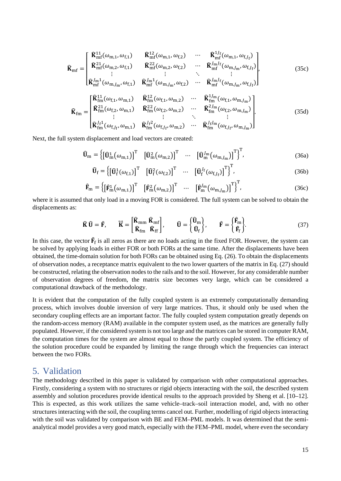$$
\hat{\mathbf{K}}_{\rm mf} = \begin{bmatrix}\n\hat{\mathbf{K}}_{\rm mf}^{11}(\omega_{\rm m,1}, \omega_{\rm f,1}) & \hat{\mathbf{K}}_{\rm mf}^{12}(\omega_{\rm m,1}, \omega_{\rm f,2}) & \cdots & \hat{\mathbf{K}}_{\rm mf}^{1f}(\omega_{\rm m,1}, \omega_{\rm f,f}) \\
\hat{\mathbf{K}}_{\rm mf}^{21}(\omega_{\rm m,2}, \omega_{\rm f,1}) & \hat{\mathbf{K}}_{\rm mf}^{22}(\omega_{\rm m,2}, \omega_{\rm f,2}) & \cdots & \hat{\mathbf{K}}_{\rm mf}^{1f}(\omega_{\rm m,1,m}, \omega_{\rm f,f}) \\
\vdots & \vdots & \ddots & \vdots \\
\hat{\mathbf{K}}^{J_{\rm m,1}}(\omega_{\rm m,1,m}, \omega_{\rm f,2}) & \hat{\mathbf{K}}^{J_{\rm m,1}}(\omega_{\rm m,1,m}, \omega_{\rm f,2}) & \cdots & \hat{\mathbf{K}}^{J_{\rm m,1}}(\omega_{\rm m,1,m}, \omega_{\rm f,1})\n\end{bmatrix},\n\tag{35c}
$$

$$
\begin{bmatrix} \mathbf{R}_{\rm mf}^{11}(\omega_{\rm m,j_{\rm m}},\omega_{\rm f,1}) & \mathbf{R}_{\rm mf}^{1\rm m}(\omega_{\rm m,j_{\rm m}},\omega_{\rm f,2}) & \cdots & \mathbf{R}_{\rm mf}^{1\rm m}(\omega_{\rm m,j_{\rm m}},\omega_{\rm f,j_{\rm f}}) \end{bmatrix}
$$

$$
\begin{bmatrix} \mathbf{\hat{R}}_{\rm fm}^{11}(\omega_{\rm f,1},\omega_{\rm m,1}) & \mathbf{\hat{R}}_{\rm fm}^{12}(\omega_{\rm f,1},\omega_{\rm m,2}) & \cdots & \mathbf{\hat{R}}_{\rm fm}^{1\rm m}(\omega_{\rm f,1},\omega_{\rm m,j_{\rm m}}) \end{bmatrix}
$$

$$
\widehat{\mathbf{K}}_{\text{fm}} = \begin{bmatrix}\n\widehat{\mathbf{K}}_{\text{fm}}^{21}(\omega_{\text{f},2}, \omega_{\text{m},1}) & \widehat{\mathbf{K}}_{\text{fm}}^{22}(\omega_{\text{f},2}, \omega_{\text{m},2}) & \cdots & \widehat{\mathbf{K}}_{\text{fm}}^{2J_{\text{m}}}(\omega_{\text{f},2}, \omega_{\text{m},J_{\text{m}}}) \\
\vdots & \vdots & \ddots & \vdots \\
\widehat{\mathbf{K}}_{\text{fm}}^{J_{\text{f}}1}(\omega_{\text{f},J_{\text{f}}}, \omega_{\text{m},1}) & \widehat{\mathbf{K}}_{\text{fm}}^{J_{\text{f}}2}(\omega_{\text{f},J_{\text{f}}}, \omega_{\text{m},2}) & \cdots & \widehat{\mathbf{K}}_{\text{fm}}^{J_{\text{f}}J_{\text{m}}}(\omega_{\text{f},J_{\text{f}}}, \omega_{\text{m},J_{\text{m}}})\n\end{bmatrix}.
$$
\n(35d)

Next, the full system displacement and load vectors are created:

$$
\widehat{\mathbf{U}}_{\mathbf{m}} = \left\{ \left[ \widehat{\mathbf{U}}_{\mathbf{m}}^{1}(\omega_{\mathbf{m},1}) \right]^{T} \begin{bmatrix} \widehat{\mathbf{U}}_{\mathbf{m}}^{2}(\omega_{\mathbf{m},2}) \end{bmatrix}^{T} \cdots \left[ \widehat{\mathbf{U}}_{\mathbf{m}}^{J_{\mathbf{m}}}(\omega_{\mathbf{m},J_{\mathbf{m}}}) \right]^{T} \right\}^{T},
$$
\n(36a)

$$
\widehat{\mathbf{U}}_{\mathbf{f}} = \left\{ \left[ \widehat{\mathbf{U}}_{\mathbf{f}}^{1}(\omega_{\mathbf{f},1}) \right]^{T} \left[ \widehat{\mathbf{U}}_{\mathbf{f}}^{2}(\omega_{\mathbf{f},2}) \right]^{T} \cdots \left[ \widehat{\mathbf{U}}_{\mathbf{f}}^{J_{\mathbf{f}}}(\omega_{\mathbf{f},J_{\mathbf{f}}}) \right]^{T} \right\}^{T},\tag{36b}
$$

$$
\hat{\mathbf{F}}_{\mathbf{m}} = \left\{ \left[ \hat{\mathbf{F}}_{\mathbf{m}}^{1}(\omega_{\mathbf{m},1}) \right]^{T} \left[ \hat{\mathbf{F}}_{\mathbf{m}}^{2}(\omega_{\mathbf{m},2}) \right]^{T} \cdots \left[ \hat{\mathbf{F}}_{\mathbf{m}}^{J_{\mathbf{m}}}(\omega_{\mathbf{m},J_{\mathbf{m}}}) \right]^{T} \right\}^{T}, \tag{36c}
$$

where it is assumed that only load in a moving FOR is considered. The full system can be solved to obtain the displacements as:

$$
\hat{\mathbf{K}}\hat{\mathbf{U}} = \hat{\mathbf{F}}, \qquad \overleftrightarrow{\mathbf{K}} = \begin{bmatrix} \hat{\mathbf{K}}_{\text{mm}} & \hat{\mathbf{K}}_{\text{mf}} \\ \hat{\mathbf{K}}_{\text{fm}} & \hat{\mathbf{K}}_{\text{ff}} \end{bmatrix}, \qquad \hat{\mathbf{U}} = \begin{Bmatrix} \hat{\mathbf{U}}_{\text{m}} \\ \hat{\mathbf{U}}_{\text{f}} \end{Bmatrix}, \qquad \hat{\mathbf{F}} = \begin{Bmatrix} \hat{\mathbf{F}}_{\text{m}} \\ \hat{\mathbf{F}}_{\text{f}} \end{Bmatrix}. \tag{37}
$$

In this case, the vector  $\mathbf{\hat{F}}_f$  is all zeros as there are no loads acting in the fixed FOR. However, the system can be solved by applying loads in either FOR or both FORs at the same time. After the displacements have been obtained, the time-domain solution for both FORs can be obtained using Eq. (26). To obtain the displacements of observation nodes, a receptance matrix equivalent to the two lower quarters of the matrix in Eq. (27) should be constructed, relating the observation nodes to the rails and to the soil. However, for any considerable number of observation degrees of freedom, the matrix size becomes very large, which can be considered a computational drawback of the methodology.

It is evident that the computation of the fully coupled system is an extremely computationally demanding process, which involves double inversion of very large matrices. Thus, it should only be used when the secondary coupling effects are an important factor. The fully coupled system computation greatly depends on the random-access memory (RAM) available in the computer system used, as the matrices are generally fully populated. However, if the considered system is not too large and the matrices can be stored in computer RAM, the computation times for the system are almost equal to those the partly coupled system. The efficiency of the solution procedure could be expanded by limiting the range through which the frequencies can interact between the two FORs.

#### 5. Validation

The methodology described in this paper is validated by comparison with other computational approaches. Firstly, considering a system with no structures or rigid objects interacting with the soil, the described system assembly and solution procedures provide identical results to the approach provided by Sheng et al. [10–12]. This is expected, as this work utilizes the same vehicle–track–soil interaction model, and, with no other structures interacting with the soil, the coupling terms cancel out. Further, modelling of rigid objects interacting with the soil was validated by comparison with BE and FEM–PML models. It was determined that the semianalytical model provides a very good match, especially with the FEM–PML model, where even the secondary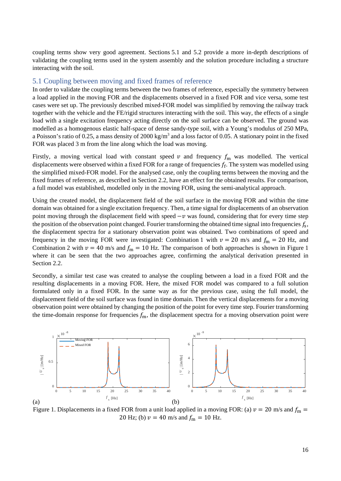coupling terms show very good agreement. Sections 5.1 and 5.2 provide a more in-depth descriptions of validating the coupling terms used in the system assembly and the solution procedure including a structure interacting with the soil.

#### 5.1 Coupling between moving and fixed frames of reference

In order to validate the coupling terms between the two frames of reference, especially the symmetry between a load applied in the moving FOR and the displacements observed in a fixed FOR and vice versa, some test cases were set up. The previously described mixed-FOR model was simplified by removing the railway track together with the vehicle and the FE/rigid structures interacting with the soil. This way, the effects of a single load with a single excitation frequency acting directly on the soil surface can be observed. The ground was modelled as a homogenous elastic half-space of dense sandy-type soil, with a Young's modulus of 250 MPa, a Poisson's ratio of 0.25, a mass density of 2000 kg/m<sup>3</sup> and a loss factor of 0.05. A stationary point in the fixed FOR was placed 3 m from the line along which the load was moving.

Firstly, a moving vertical load with constant speed  $v$  and frequency  $f_m$  was modelled. The vertical displacements were observed within a fixed FOR for a range of frequencies  $f_f$ . The system was modelled using the simplified mixed-FOR model. For the analysed case, only the coupling terms between the moving and the fixed frames of reference, as described in Section 2.2, have an effect for the obtained results. For comparison, a full model was established, modelled only in the moving FOR, using the semi-analytical approach.

Using the created model, the displacement field of the soil surface in the moving FOR and within the time domain was obtained for a single excitation frequency. Then, a time signal for displacements of an observation point moving through the displacement field with speed  $-v$  was found, considering that for every time step the position of the observation point changed. Fourier transforming the obtained time signal into frequencies  $f_s$ , the displacement spectra for a stationary observation point was obtained. Two combinations of speed and frequency in the moving FOR were investigated: Combination 1 with  $v = 20$  m/s and  $f_m = 20$  Hz, and Combination 2 with  $v = 40$  m/s and  $f_m = 10$  Hz. The comparison of both approaches is shown in Figure 1 where it can be seen that the two approaches agree, confirming the analytical derivation presented in Section 2.2.

Secondly, a similar test case was created to analyse the coupling between a load in a fixed FOR and the resulting displacements in a moving FOR. Here, the mixed FOR model was compared to a full solution formulated only in a fixed FOR. In the same way as for the previous case, using the full model, the displacement field of the soil surface was found in time domain. Then the vertical displacements for a moving observation point were obtained by changing the position of the point for every time step. Fourier transforming the time-domain response for frequencies  $f_m$ , the displacement spectra for a moving observation point were



Figure 1. Displacements in a fixed FOR from a unit load applied in a moving FOR: (a)  $v = 20$  m/s and  $f_m =$ 20 Hz; (b)  $v = 40$  m/s and  $f_m = 10$  Hz.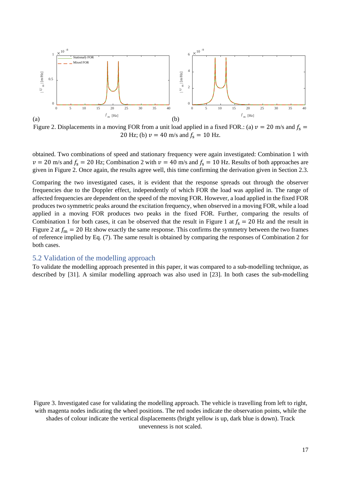

Figure 2. Displacements in a moving FOR from a unit load applied in a fixed FOR.: (a)  $v = 20$  m/s and  $f_s =$ 20 Hz; (b)  $v = 40$  m/s and  $f_s = 10$  Hz.

obtained. Two combinations of speed and stationary frequency were again investigated: Combination 1 with  $v = 20$  m/s and  $f_s = 20$  Hz; Combination 2 with  $v = 40$  m/s and  $f_s = 10$  Hz. Results of both approaches are given in Figure 2. Once again, the results agree well, this time confirming the derivation given in Section 2.3.

Comparing the two investigated cases, it is evident that the response spreads out through the observer frequencies due to the Doppler effect, independently of which FOR the load was applied in. The range of affected frequencies are dependent on the speed of the moving FOR. However, a load applied in the fixed FOR produces two symmetric peaks around the excitation frequency, when observed in a moving FOR, while a load applied in a moving FOR produces two peaks in the fixed FOR. Further, comparing the results of Combination 1 for both cases, it can be observed that the result in Figure 1 at  $f_s = 20$  Hz and the result in Figure 2 at  $f_m = 20$  Hz show exactly the same response. This confirms the symmetry between the two frames of reference implied by Eq. (7). The same result is obtained by comparing the responses of Combination 2 for both cases.

#### 5.2 Validation of the modelling approach

To validate the modelling approach presented in this paper, it was compared to a sub-modelling technique, as described by [31]. A similar modelling approach was also used in [23]. In both cases the sub-modelling

Figure 3. Investigated case for validating the modelling approach. The vehicle is travelling from left to right, with magenta nodes indicating the wheel positions. The red nodes indicate the observation points, while the shades of colour indicate the vertical displacements (bright yellow is up, dark blue is down). Track unevenness is not scaled.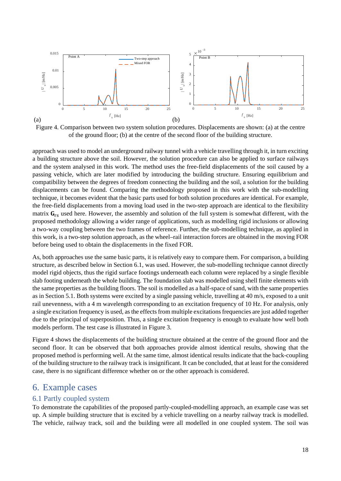

Figure 4. Comparison between two system solution procedures. Displacements are shown: (a) at the centre of the ground floor; (b) at the centre of the second floor of the building structure.

approach was used to model an underground railway tunnel with a vehicle travelling through it, in turn exciting a building structure above the soil. However, the solution procedure can also be applied to surface railways and the system analysed in this work. The method uses the free-field displacements of the soil caused by a passing vehicle, which are later modified by introducing the building structure. Ensuring equilibrium and compatibility between the degrees of freedom connecting the building and the soil, a solution for the building displacements can be found. Comparing the methodology proposed in this work with the sub-modelling technique, it becomes evident that the basic parts used for both solution procedures are identical. For example, the free-field displacements from a moving load used in the two-step approach are identical to the flexibility matrix  $G_{rs}$  used here. However, the assembly and solution of the full system is somewhat different, with the proposed methodology allowing a wider range of applications, such as modelling rigid inclusions or allowing a two-way coupling between the two frames of reference. Further, the sub-modelling technique, as applied in this work, is a two-step solution approach, as the wheel–rail interaction forces are obtained in the moving FOR before being used to obtain the displacements in the fixed FOR.

As, both approaches use the same basic parts, it is relatively easy to compare them. For comparison, a building structure, as described below in Section 6.1, was used. However, the sub-modelling technique cannot directly model rigid objects, thus the rigid surface footings underneath each column were replaced by a single flexible slab footing underneath the whole building. The foundation slab was modelled using shell finite elements with the same properties as the building floors. The soil is modelled as a half-space of sand, with the same properties as in Section 5.1. Both systems were excited by a single passing vehicle, travelling at 40 m/s, exposed to a unit rail unevenness, with a 4 m wavelength corresponding to an excitation frequency of 10 Hz. For analysis, only a single excitation frequency is used, as the effects from multiple excitations frequencies are just added together due to the principal of superposition. Thus, a single excitation frequency is enough to evaluate how well both models perform. The test case is illustrated in Figure 3.

Figure 4 shows the displacements of the building structure obtained at the centre of the ground floor and the second floor. It can be observed that both approaches provide almost identical results, showing that the proposed method is performing well. At the same time, almost identical results indicate that the back-coupling of the building structure to the railway track is insignificant. It can be concluded, that at least for the considered case, there is no significant difference whether on or the other approach is considered.

# 6. Example cases

### 6.1 Partly coupled system

To demonstrate the capabilities of the proposed partly-coupled-modelling approach, an example case was set up. A simple building structure that is excited by a vehicle travelling on a nearby railway track is modelled. The vehicle, railway track, soil and the building were all modelled in one coupled system. The soil was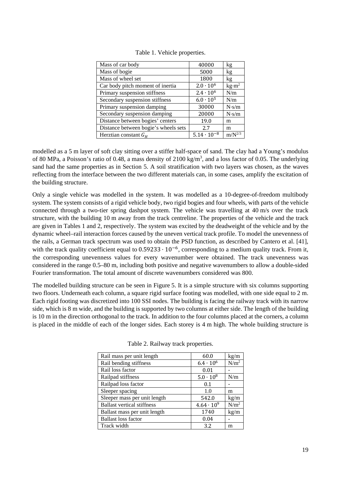| Mass of car body                     | 40000                | kg                         |
|--------------------------------------|----------------------|----------------------------|
| Mass of bogie                        | 5000                 | kg                         |
| Mass of wheel set                    | 1800                 | kg                         |
| Car body pitch moment of inertia     | $2.0 \cdot 10^{6}$   | $\text{kg}\cdot\text{m}^2$ |
| Primary suspension stiffness         | $2.4 \cdot 10^{6}$   | N/m                        |
| Secondary suspension stiffness       | $6.0 \cdot 10^{5}$   | N/m                        |
| Primary suspension damping           | 30000                | $N\cdot s/m$               |
| Secondary suspension damping         | 20000                | $N\cdot s/m$               |
| Distance between bogies' centers     | 19.0                 | m                          |
| Distance between bogie's wheels sets | 2.7                  | m                          |
| Herztian constant $G_H$              | $5.14 \cdot 10^{-8}$ | $m/N^{2/3}$                |

|  |  | Table 1. Vehicle properties. |
|--|--|------------------------------|
|--|--|------------------------------|

modelled as a 5 m layer of soft clay sitting over a stiffer half-space of sand. The clay had a Young's modulus of 80 MPa, a Poisson's ratio of 0.48, a mass density of  $2100 \text{ kg/m}^3$ , and a loss factor of 0.05. The underlying sand had the same properties as in Section 5. A soil stratification with two layers was chosen, as the waves reflecting from the interface between the two different materials can, in some cases, amplify the excitation of the building structure.

Only a single vehicle was modelled in the system. It was modelled as a 10-degree-of-freedom multibody system. The system consists of a rigid vehicle body, two rigid bogies and four wheels, with parts of the vehicle connected through a two-tier spring dashpot system. The vehicle was travelling at 40 m/s over the track structure, with the building 10 m away from the track centreline. The properties of the vehicle and the track are given in Tables 1 and 2, respectively. The system was excited by the deadweight of the vehicle and by the dynamic wheel–rail interaction forces caused by the uneven vertical track profile. To model the unevenness of the rails, a German track spectrum was used to obtain the PSD function, as described by Cantero et al. [41], with the track quality coefficient equal to 0.59233 ⋅ 10<sup>-6</sup>, corresponding to a medium quality track. From it, the corresponding unevenness values for every wavenumber were obtained. The track unevenness was considered in the range 0.5–80 m, including both positive and negative wavenumbers to allow a double-sided Fourier transformation. The total amount of discrete wavenumbers considered was 800.

The modelled building structure can be seen in Figure 5. It is a simple structure with six columns supporting two floors. Underneath each column, a square rigid surface footing was modelled, with one side equal to 2 m. Each rigid footing was discretized into 100 SSI nodes. The building is facing the railway track with its narrow side, which is 8 m wide, and the building is supported by two columns at either side. The length of the building is 10 m in the direction orthogonal to the track. In addition to the four columns placed at the corners, a column is placed in the middle of each of the longer sides. Each storey is 4 m high. The whole building structure is

| Rail mass per unit length         | 60.0                | kg/m             |
|-----------------------------------|---------------------|------------------|
| Rail bending stiffness            | $6.4 \cdot 10^{6}$  | N/m <sup>2</sup> |
| Rail loss factor                  | 0.01                |                  |
| Railpad stiffness                 | $5.0 \cdot 10^8$    | N/m              |
| Railpad loss factor               | 0.1                 |                  |
| Sleeper spacing                   | 1.0                 | m                |
| Sleeper mass per unit length      | 542.0               | kg/m             |
| <b>Ballast vertical stiffness</b> | $4.64 \cdot 10^{9}$ | N/m <sup>2</sup> |
| Ballast mass per unit length      | 1740                | kg/m             |
| <b>Ballast loss factor</b>        | 0.04                |                  |
| Track width                       | 3.2                 | m                |

|  |  |  | Table 2. Railway track properties. |
|--|--|--|------------------------------------|
|--|--|--|------------------------------------|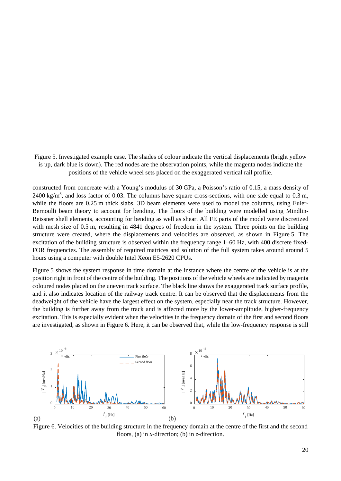Figure 5. Investigated example case. The shades of colour indicate the vertical displacements (bright yellow is up, dark blue is down). The red nodes are the observation points, while the magenta nodes indicate the positions of the vehicle wheel sets placed on the exaggerated vertical rail profile.

constructed from concreate with a Young's modulus of 30 GPa, a Poisson's ratio of 0.15, a mass density of  $2400 \text{ kg/m}^3$ , and loss factor of 0.03. The columns have square cross-sections, with one side equal to 0.3 m, while the floors are 0.25 m thick slabs. 3D beam elements were used to model the columns, using Euler-Bernoulli beam theory to account for bending. The floors of the building were modelled using Mindlin-Reissner shell elements, accounting for bending as well as shear. All FE parts of the model were discretized with mesh size of 0.5 m, resulting in 4841 degrees of freedom in the system. Three points on the building structure were created, where the displacements and velocities are observed, as shown in Figure 5. The excitation of the building structure is observed within the frequency range 1–60 Hz, with 400 discrete fixed-FOR frequencies. The assembly of required matrices and solution of the full system takes around around 5 hours using a computer with double Intel Xeon E5-2620 CPUs.

Figure 5 shows the system response in time domain at the instance where the centre of the vehicle is at the position right in front of the centre of the building. The positions of the vehicle wheels are indicated by magenta coloured nodes placed on the uneven track surface. The black line shows the exaggerated track surface profile, and it also indicates location of the railway track centre. It can be observed that the displacements from the deadweight of the vehicle have the largest effect on the system, especially near the track structure. However, the building is further away from the track and is affected more by the lower-amplitude, higher-frequency excitation. This is especially evident when the velocities in the frequency domain of the first and second floors are investigated, as shown in Figure 6. Here, it can be observed that, while the low-frequency response is still



Figure 6. Velocities of the building structure in the frequency domain at the centre of the first and the second floors, (a) in *x*-direction; (b) in *z*-direction.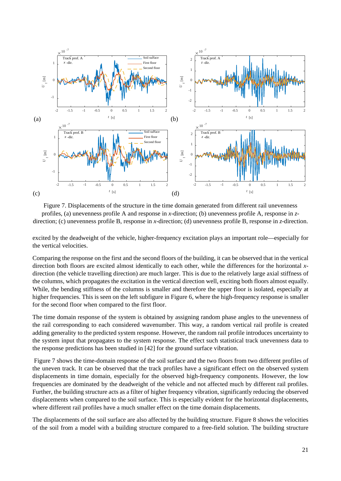

Figure 7. Displacements of the structure in the time domain generated from different rail unevenness profiles, (a) unevenness profile A and response in *x*-direction; (b) unevenness profile A, response in *z*direction; (c) unevenness profile B, response in *x*-direction; (d) unevenness profile B, response in *z*-direction.

excited by the deadweight of the vehicle, higher-frequency excitation plays an important role—especially for the vertical velocities.

Comparing the response on the first and the second floors of the building, it can be observed that in the vertical direction both floors are excited almost identically to each other, while the differences for the horizontal *x*direction (the vehicle travelling direction) are much larger. This is due to the relatively large axial stiffness of the columns, which propagates the excitation in the vertical direction well, exciting both floors almost equally. While, the bending stiffness of the columns is smaller and therefore the upper floor is isolated, especially at higher frequencies. This is seen on the left subfigure in Figure 6, where the high-frequency response is smaller for the second floor when compared to the first floor.

The time domain response of the system is obtained by assigning random phase angles to the unevenness of the rail corresponding to each considered wavenumber. This way, a random vertical rail profile is created adding generality to the predicted system response. However, the random rail profile introduces uncertainty to the system input that propagates to the system response. The effect such statistical track unevenness data to the response predictions has been studied in [42] for the ground surface vibration.

Figure 7 shows the time-domain response of the soil surface and the two floors from two different profiles of the uneven track. It can be observed that the track profiles have a significant effect on the observed system displacements in time domain, especially for the observed high-frequency components. However, the low frequencies are dominated by the deadweight of the vehicle and not affected much by different rail profiles. Further, the building structure acts as a filter of higher frequency vibration, significantly reducing the observed displacements when compared to the soil surface. This is especially evident for the horizontal displacements, where different rail profiles have a much smaller effect on the time domain displacements.

The displacements of the soil surface are also affected by the building structure. Figure 8 shows the velocities of the soil from a model with a building structure compared to a free-field solution. The building structure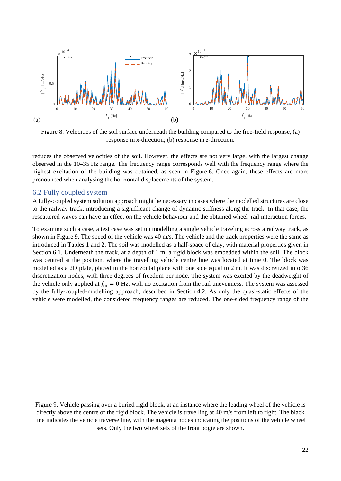

Figure 8. Velocities of the soil surface underneath the building compared to the free-field response, (a) response in *x*-direction; (b) response in *z*-direction.

reduces the observed velocities of the soil. However, the effects are not very large, with the largest change observed in the 10–35 Hz range. The frequency range corresponds well with the frequency range where the highest excitation of the building was obtained, as seen in Figure 6. Once again, these effects are more pronounced when analysing the horizontal displacements of the system.

#### 6.2 Fully coupled system

A fully-coupled system solution approach might be necessary in cases where the modelled structures are close to the railway track, introducing a signifficant change of dynamic stiffness along the track. In that case, the rescattered waves can have an effect on the vehicle behaviour and the obtained wheel–rail interaction forces.

To examine such a case, a test case was set up modelling a single vehicle traveling across a railway track, as shown in Figure 9. The speed of the vehicle was 40 m/s. The vehicle and the track properties were the same as introduced in Tables 1 and 2. The soil was modelled as a half-space of clay, with material properties given in Section 6.1. Underneath the track, at a depth of 1 m, a rigid block was embedded within the soil. The block was centred at the position, where the travelling vehicle centre line was located at time 0. The block was modelled as a 2D plate, placed in the horizontal plane with one side equal to 2 m. It was discretized into 36 discretization nodes, with three degrees of freedom per node. The system was excited by the deadweight of the vehicle only applied at  $f_m = 0$  Hz, with no excitation from the rail unevenness. The system was assessed by the fully-coupled-modelling approach, described in Section 4.2. As only the quasi-static effects of the vehicle were modelled, the considered frequency ranges are reduced. The one-sided frequency range of the

Figure 9. Vehicle passing over a buried rigid block, at an instance where the leading wheel of the vehicle is directly above the centre of the rigid block. The vehicle is travelling at 40 m/s from left to right. The black line indicates the vehicle traverse line, with the magenta nodes indicating the positions of the vehicle wheel sets. Only the two wheel sets of the front bogie are shown.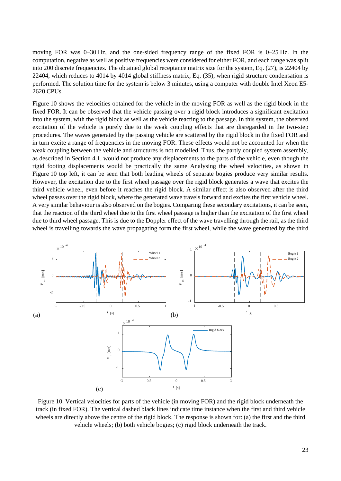moving FOR was 0–30 Hz, and the one-sided frequency range of the fixed FOR is 0–25 Hz. In the computation, negative as well as positive frequencies were considered for either FOR, and each range was split into 200 discrete frequencies. The obtained global receptance matrix size for the system, Eq. (27), is 22404 by 22404, which reduces to 4014 by 4014 global stiffness matrix, Eq. (35), when rigid structure condensation is performed. The solution time for the system is below 3 minutes, using a computer with double Intel Xeon E5- 2620 CPUs.

Figure 10 shows the velocities obtained for the vehicle in the moving FOR as well as the rigid block in the fixed FOR. It can be observed that the vehicle passing over a rigid block introduces a significant excitation into the system, with the rigid block as well as the vehicle reacting to the passage. In this system, the observed excitation of the vehicle is purely due to the weak coupling effects that are disregarded in the two-step procedures. The waves generated by the passing vehicle are scattered by the rigid block in the fixed FOR and in turn excite a range of frequencies in the moving FOR. These effects would not be accounted for when the weak coupling between the vehicle and structures is not modelled. Thus, the partly coupled system assembly, as described in Section 4.1, would not produce any displacements to the parts of the vehicle, even though the rigid footing displacements would be practically the same Analysing the wheel velocities, as shown in Figure 10 top left, it can be seen that both leading wheels of separate bogies produce very similar results. However, the excitation due to the first wheel passage over the rigid block generates a wave that excites the third vehicle wheel, even before it reaches the rigid block. A similar effect is also observed after the third wheel passes over the rigid block, where the generated wave travels forward and excites the first vehicle wheel. A very similar behaviour is also observed on the bogies. Comparing these secondary excitations, it can be seen, that the reaction of the third wheel due to the first wheel passage is higher than the excitation of the first wheel due to third wheel passage. This is due to the Doppler effect of the wave travelling through the rail, as the third wheel is travelling towards the wave propagating form the first wheel, while the wave generated by the third



Figure 10. Vertical velocities for parts of the vehicle (in moving FOR) and the rigid block underneath the track (in fixed FOR). The vertical dashed black lines indicate time instance when the first and third vehicle wheels are directly above the centre of the rigid block. The response is shown for: (a) the first and the third vehicle wheels; (b) both vehicle bogies; (c) rigid block underneath the track.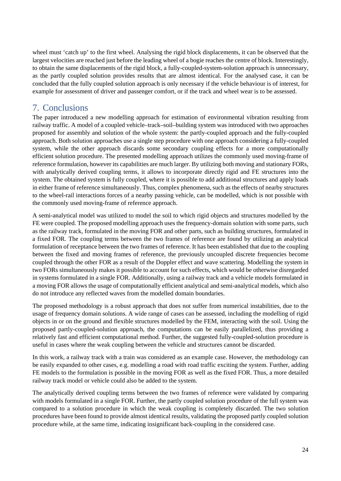wheel must 'catch up' to the first wheel. Analysing the rigid block displacements, it can be observed that the largest velocities are reached just before the leading wheel of a bogie reaches the centre of block. Interestingly, to obtain the same displacements of the rigid block, a fully-coupled-system-solution approach is unnecessary, as the partly coupled solution provides results that are almost identical. For the analysed case, it can be concluded that the fully coupled solution approach is only necessary if the vehicle behaviour is of interest, for example for assessment of driver and passenger comfort, or if the track and wheel wear is to be assessed.

# 7. Conclusions

The paper introduced a new modelling approach for estimation of environmental vibration resulting from railway traffic. A model of a coupled vehicle–track–soil–building system was introduced with two approaches proposed for assembly and solution of the whole system: the partly-coupled approach and the fully-coupled approach. Both solution approaches use a single step procedure with one approach considering a fully-coupled system, while the other approach discards some secondary coupling effects for a more computationally efficient solution procedure. The presented modelling approach utilizes the commonly used moving-frame of reference formulation, however its capabilities are much larger. By utilizing both moving and stationary FORs, with analytically derived coupling terms, it allows to incorporate directly rigid and FE structures into the system. The obtained system is fully coupled, where it is possible to add additional structures and apply loads in either frame of reference simultaneously. Thus, complex phenomena, such as the effects of nearby structures to the wheel-rail interactions forces of a nearby passing vehicle, can be modelled, which is not possible with the commonly used moving-frame of reference approach.

A semi-analytical model was utilized to model the soil to which rigid objects and structures modelled by the FE were coupled. The proposed modelling approach uses the frequency-domain solution with some parts, such as the railway track, formulated in the moving FOR and other parts, such as building structures, formulated in a fixed FOR. The coupling terms between the two frames of reference are found by utilizing an analytical formulation of receptance between the two frames of reference. It has been established that due to the coupling between the fixed and moving frames of reference, the previously uncoupled discrete frequencies become coupled through the other FOR as a result of the Doppler effect and wave scattering. Modelling the system in two FORs simultaneously makes it possible to account for such effects, which would be otherwise disregarded in systems formulated in a single FOR. Additionally, using a railway track and a vehicle models formulated in a moving FOR allows the usage of computationally efficient analytical and semi-analytical models, which also do not introduce any reflected waves from the modelled domain boundaries.

The proposed methodology is a robust approach that does not suffer from numerical instabilities, due to the usage of frequency domain solutions. A wide range of cases can be assessed, including the modelling of rigid objects in or on the ground and flexible structures modelled by the FEM, interacting with the soil. Using the proposed partly-coupled-solution approach, the computations can be easily parallelized, thus providing a relatively fast and efficient computational method. Further, the suggested fully-coupled-solution procedure is useful in cases where the weak coupling between the vehicle and structures cannot be discarded.

In this work, a railway track with a train was considered as an example case. However, the methodology can be easily expanded to other cases, e.g. modelling a road with road traffic exciting the system. Further, adding FE models to the formulation is possible in the moving FOR as well as the fixed FOR. Thus, a more detailed railway track model or vehicle could also be added to the system.

The analytically derived coupling terms between the two frames of reference were validated by comparing with models formulated in a single FOR. Further, the partly coupled solution procedure of the full system was compared to a solution procedure in which the weak coupling is completely discarded. The two solution procedures have been found to provide almost identical results, validating the proposed partly coupled solution procedure while, at the same time, indicating insignificant back-coupling in the considered case.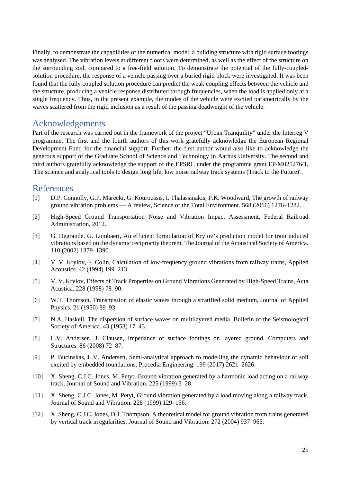Finally, to demonstrate the capabilities of the numerical model, a building structure with rigid surface footings was analysed. The vibration levels at different floors were determined, as well as the effect of the structure on the surrounding soil, compared to a free-field solution. To demonstrate the potential of the fully-coupledsolution procedure, the response of a vehicle passing over a buried rigid block were investigated. It was been found that the fully coupled solution procedure can predict the weak coupling effects between the vehicle and the structure, producing a vehicle response distributed through frequencies, when the load is applied only at a single frequency. Thus, in the present example, the modes of the vehicle were excited parametrically by the waves scattered from the rigid inclusion as a result of the passing deadweight of the vehicle.

# Acknowledgements

Part of the research was carried out in the framework of the project "Urban Tranquility" under the Interreg V programme. The first and the fourth authors of this work gratefully acknowledge the European Regional Development Fund for the financial support. Further, the first author would also like to acknowledge the generous support of the Graduate School of Science and Technology in Aarhus University. The second and third authors gratefully acknowledge the support of the EPSRC under the programme grant EP/M025276/1, 'The science and analytical tools to design long life, low noise railway track systems (Track to the Future)'.

## References

- [1] D.P. Connolly, G.P. Marecki, G. Kouroussis, I. Thalassinakis, P.K. Woodward, The growth of railway ground vibration problems — A review, Science of the Total Environment. 568 (2016) 1276–1282.
- [2] High-Speed Ground Transportation Noise and Vibration Impact Assessment, Federal Railroad Administration, 2012.
- [3] G. Degrande, G. Lombaert, An efficient formulation of Krylov's prediction model for train induced vibrations based on the dynamic reciprocity theorem, The Journal of the Acoustical Society of America. 110 (2002) 1379–1390.
- [4] V. V. Krylov, F. Colin, Calculation of low-frequency ground vibrations from railway trains, Applied Acoustics. 42 (1994) 199–213.
- [5] V. V. Krylov, Effects of Track Properties on Ground Vibrations Generated by High-Speed Trains, Acta Acustica. 228 (1998) 78–90.
- [6] W.T. Thomson, Transmission of elastic waves through a stratified solid medium, Journal of Applied Physics. 21 (1950) 89–93.
- [7] N.A. Haskell, The dispersion of surface waves on multilayered media, Bulletin of the Seismological Society of America. 43 (1953) 17–43.
- [8] L.V. Andersen, J. Clausen, Impedance of surface footings on layered ground, Computers and Structures. 86 (2008) 72–87.
- [9] P. Bucinskas, L.V. Andersen, Semi-analytical approach to modelling the dynamic behaviour of soil excited by embedded foundations, Procedia Engineering. 199 (2017) 2621–2626.
- [10] X. Sheng, C.J.C. Jones, M. Petyt, Ground vibration generated by a harmonic load acting on a railway track, Journal of Sound and Vibration. 225 (1999) 3–28.
- [11] X. Sheng, C.J.C. Jones, M. Petyt, Ground vibration generated by a load moving along a railway track, Journal of Sound and Vibration. 228 (1999) 129–156.
- [12] X. Sheng, C.J.C. Jones, D.J. Thompson, A theoretical model for ground vibration from trains generated by vertical track irregularities, Journal of Sound and Vibration. 272 (2004) 937–965.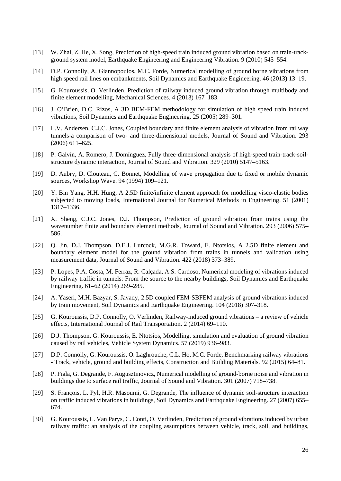- [13] W. Zhai, Z. He, X. Song, Prediction of high-speed train induced ground vibration based on train-trackground system model, Earthquake Engineering and Engineering Vibration. 9 (2010) 545–554.
- [14] D.P. Connolly, A. Giannopoulos, M.C. Forde, Numerical modelling of ground borne vibrations from high speed rail lines on embankments, Soil Dynamics and Earthquake Engineering. 46 (2013) 13–19.
- [15] G. Kouroussis, O. Verlinden, Prediction of railway induced ground vibration through multibody and finite element modelling, Mechanical Sciences. 4 (2013) 167–183.
- [16] J. O'Brien, D.C. Rizos, A 3D BEM-FEM methodology for simulation of high speed train induced vibrations, Soil Dynamics and Earthquake Engineering. 25 (2005) 289–301.
- [17] L.V. Andersen, C.J.C. Jones, Coupled boundary and finite element analysis of vibration from railway tunnels-a comparison of two- and three-dimensional models, Journal of Sound and Vibration. 293 (2006) 611–625.
- [18] P. Galvín, A. Romero, J. Domínguez, Fully three-dimensional analysis of high-speed train-track-soilstructure dynamic interaction, Journal of Sound and Vibration. 329 (2010) 5147–5163.
- [19] D. Aubry, D. Clouteau, G. Bonnet, Modelling of wave propagation due to fixed or mobile dynamic sources, Workshop Wave. 94 (1994) 109–121.
- [20] Y. Bin Yang, H.H. Hung, A 2.5D finite/infinite element approach for modelling visco-elastic bodies subjected to moving loads, International Journal for Numerical Methods in Engineering. 51 (2001) 1317–1336.
- [21] X. Sheng, C.J.C. Jones, D.J. Thompson, Prediction of ground vibration from trains using the wavenumber finite and boundary element methods, Journal of Sound and Vibration. 293 (2006) 575– 586.
- [22] O. Jin, D.J. Thompson, D.E.J. Lurcock, M.G.R. Toward, E. Ntotsios, A 2.5D finite element and boundary element model for the ground vibration from trains in tunnels and validation using measurement data, Journal of Sound and Vibration. 422 (2018) 373–389.
- [23] P. Lopes, P.A. Costa, M. Ferraz, R. Calçada, A.S. Cardoso, Numerical modeling of vibrations induced by railway traffic in tunnels: From the source to the nearby buildings, Soil Dynamics and Earthquake Engineering. 61–62 (2014) 269–285.
- [24] A. Yaseri, M.H. Bazyar, S. Javady, 2.5D coupled FEM-SBFEM analysis of ground vibrations induced by train movement, Soil Dynamics and Earthquake Engineering. 104 (2018) 307–318.
- [25] G. Kouroussis, D.P. Connolly, O. Verlinden, Railway-induced ground vibrations a review of vehicle effects, International Journal of Rail Transportation. 2 (2014) 69–110.
- [26] D.J. Thompson, G. Kouroussis, E. Ntotsios, Modelling, simulation and evaluation of ground vibration caused by rail vehicles, Vehicle System Dynamics. 57 (2019) 936–983.
- [27] D.P. Connolly, G. Kouroussis, O. Laghrouche, C.L. Ho, M.C. Forde, Benchmarking railway vibrations - Track, vehicle, ground and building effects, Construction and Building Materials. 92 (2015) 64–81.
- [28] P. Fiala, G. Degrande, F. Augusztinovicz, Numerical modelling of ground-borne noise and vibration in buildings due to surface rail traffic, Journal of Sound and Vibration. 301 (2007) 718–738.
- [29] S. François, L. Pyl, H.R. Masoumi, G. Degrande, The influence of dynamic soil-structure interaction on traffic induced vibrations in buildings, Soil Dynamics and Earthquake Engineering. 27 (2007) 655– 674.
- [30] G. Kouroussis, L. Van Parys, C. Conti, O. Verlinden, Prediction of ground vibrations induced by urban railway traffic: an analysis of the coupling assumptions between vehicle, track, soil, and buildings,